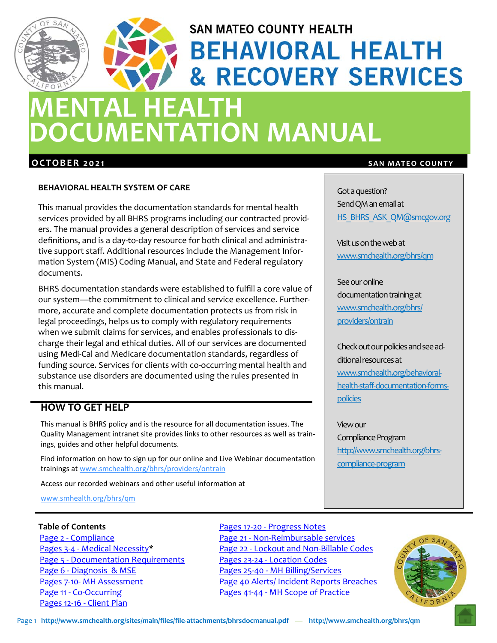# **SAN MATEO COUNTY HEALTH BEHAVIORAL HEALTH & RECOVERY SERVICES**

## **MENTAL HEALTH DOCUMENTATION MANUAL**

#### **BEHAVIORAL HEALTH SYSTEM OF CARE**

This manual provides the documentation standards for mental health services provided by all BHRS programs including our contracted provid‐ ers. The manual provides a general description of services and service definitions, and is a day‐to‐day resource for both clinical and administra‐ tive support staff. Additional resources include the Management Infor‐ mation System (MIS) Coding Manual, and State and Federal regulatory documents.

BHRS documentation standards were established to fulfill a core value of our system—the commitment to clinical and service excellence. Further‐ more, accurate and complete documentation protects us from risk in legal proceedings, helps us to comply with regulatory requirements when we submit claims for services, and enables professionals to discharge their legal and ethical duties. All of our services are documented using Medi‐Cal and Medicare documentation standards, regardless of funding source. Services for clients with co-occurring mental health and substance use disorders are documented using the rules presented in this manual.

## **HOW TO GET HELP**

This manual is BHRS policy and is the resource for all documentation issues. The Quality Management intranet site provides links to other resources as well as trainings, guides and other helpful documents.

Find information on how to sign up for our online and Live Webinar documentation trainings at www.smchealth.org/bhrs/providers/ontrain

Access our recorded webinars and other useful information at

www.smhealth.org/bhrs/qm

#### **Table of Contents**

Page 2 ‐ Compliance Pages 3‐4 ‐ Medical Necessity\* Page 5 - Documentation Requirements Page 6 ‐ Diagnosis & MSE Pages 7‐10‐ MH Assessment Page 11 ‐ Co‐Occurring Pages 12‐16 ‐ Client Plan

#### Pages 17‐20 ‐ Progress Notes

Page 21 ‐ Non‐Reimbursable services Page 22 - Lockout and Non-Billable Codes Pages 23‐24 ‐ Location Codes Pages 25‐40 ‐ MH Billing/Services Page 40 Alerts/ Incident Reports Breaches Pages 41‐44 ‐ MH Scope of Practice

#### **OCTOBER 2021** SAN MATEO COUNTY

Got a question? Send QM an email at HS\_BHRS\_ASK\_QM@smcgov.org

Visitusonthewebat www.smchealth.org/bhrs/qm

See our online documentation training at www.smchealth.org/bhrs/ providers/ontrain

Check out our policies and see additional resources at www.smchealth.org/behavioral‐ health‐staff‐documentation‐forms‐ policies

Viewour Compliance Program http://www.smchealth.org/bhrscompliance-program

IFORN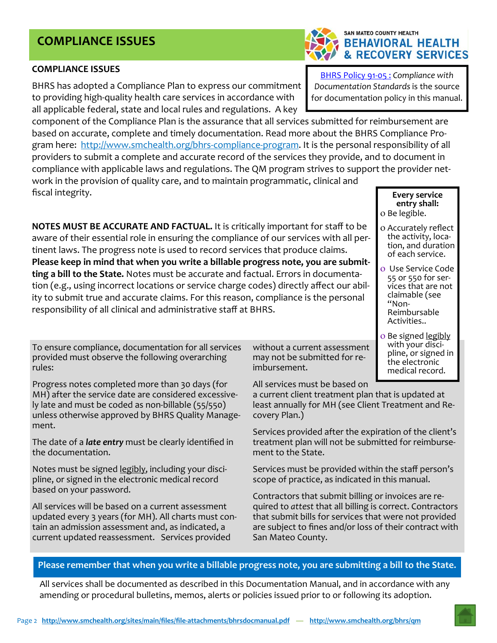the documentation. ment to the State.

pline, or signed in the electronic medical record based on your password.

least annually for MH (see Client Treatment and Re‐ covery Plan.)

without a current assessment may not be submitted for re‐

All services must be based on

imbursement.

Services provided after the expiration of the client's treatment plan will not be submitted for reimburse‐

a current client treatment plan that is updated at

Services must be provided within the staff person's scope of practice, as indicated in this manual.

Contractors that submit billing or invoices are re‐ quired to *attest* that all billing is correct. Contractors that submit bills for services that were not provided are subject to fines and/or loss of their contract with San Mateo County.

#### **Please remember that when you write a billable progress note, you are submitting a bill to the State.**

All services shall be documented as described in this Documentation Manual, and in accordance with any amending or procedural bulletins, memos, alerts or policies issued prior to or following its adoption.

#### **COMPLIANCE ISSUES**

BHRS has adopted a Compliance Plan to express our commitment to providing high‐quality health care services in accordance with all applicable federal, state and local rules and regulations. A key

component of the Compliance Plan is the assurance that all services submitted for reimbursement are based on accurate, complete and timely documentation. Read more about the BHRS Compliance Pro‐ gram here: http://www.smchealth.org/bhrs-compliance-program. It is the personal responsibility of all providers to submit a complete and accurate record of the services they provide, and to document in compliance with applicable laws and regulations. The QM program strives to support the provider net‐ work in the provision of quality care, and to maintain programmatic, clinical and

fiscal integrity.

**NOTES MUST BE ACCURATE AND FACTUAL.** It is critically important for staff to be aware of their essential role in ensuring the compliance of our services with all pertinent laws. The progress note is used to record services that produce claims. **Please keep in mind that when you write a billable progress note, you are submit‐ ting a bill to the State.** Notes must be accurate and factual. Errors in documenta‐ tion (e.g., using incorrect locations or service charge codes) directly affect our abil‐ ity to submit true and accurate claims. For this reason, compliance is the personal responsibility of all clinical and administrative staff at BHRS.

To ensure compliance, documentation for all services provided must observe the following overarching rules:

Progress notes completed more than 30 days (for MH) after the service date are considered excessive‐ ly late and must be coded as non‐billable (55/550) unless otherwise approved by BHRS Quality Manage‐ ment.

The date of a *late entry* must be clearly identified in

Notes must be signed legibly, including your disci‐

All services will be based on a current assessment updated every 3 years (for MH). All charts must con‐ tain an admission assessment and, as indicated, a current updated reassessment. Services provided

BHRS Policy 91‐05 : *Compliance with Documentation Standards* is the source

for documentation policy in this manual.

**Every service entry shall:**  o Be legible.

- o Accurately reflect<br>the activity, location, and duration of each service.
- Use Service Code <sup>55</sup> or <sup>550</sup> for ser‐ vices that are not claimable (see Reimbursable Activities..
- o Be signed <u>legibly</u><br>with your discipline, or signed in the electronic medical record.

Page 2 **http://www.smchealth.org/sites/main/files/file‐attachments/bhrsdocmanual.pdf** — **http://www.smchealth.org/bhrs/qm**



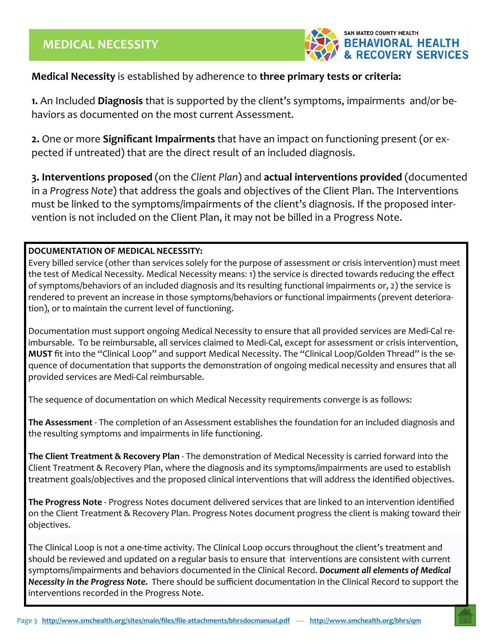

#### **Medical Necessity** is established by adherence to **three primary tests or criteria:**

**1.** An Included **Diagnosis** that is supported by the client's symptoms, impairments and/or be‐ haviors as documented on the most current Assessment.

**2.** One or more **Significant Impairments** that have an impact on functioning present (or ex‐ pected if untreated) that are the direct result of an included diagnosis.

**3. Interventions proposed** (on the *Client Plan*) and **actual interventions provided** (documented in a *Progress Note*) that address the goals and objectives of the Client Plan. The Interventions must be linked to the symptoms/impairments of the client's diagnosis. If the proposed inter‐ vention is not included on the Client Plan, it may not be billed in a Progress Note.

#### **DOCUMENTATION OF MEDICAL NECESSITY:**

Every billed service (other than services solely for the purpose of assessment or crisis intervention) must meet the test of Medical Necessity. Medical Necessity means: 1) the service is directed towards reducing the effect of symptoms/behaviors of an included diagnosis and its resulting functional impairments or, 2) the service is rendered to prevent an increase in those symptoms/behaviors or functional impairments (prevent deteriora‐ tion), or to maintain the current level of functioning.

Documentation must support ongoing Medical Necessity to ensure that all provided services are Medi‐Cal re‐ imbursable. To be reimbursable, all services claimed to Medi‐Cal, except for assessment or crisis intervention, **MUST** fit into the "Clinical Loop" and support Medical Necessity. The "Clinical Loop/Golden Thread" is the se‐ quence of documentation that supports the demonstration of ongoing medical necessity and ensures that all provided services are Medi‐Cal reimbursable.

The sequence of documentation on which Medical Necessity requirements converge is as follows:

**The Assessment** ‐ The completion of an Assessment establishes the foundation for an included diagnosis and the resulting symptoms and impairments in life functioning.

**The Client Treatment & Recovery Plan** ‐ The demonstration of Medical Necessity is carried forward into the Client Treatment & Recovery Plan, where the diagnosis and its symptoms/impairments are used to establish treatment goals/objectives and the proposed clinical interventions that will address the identified objectives.

**The Progress Note** ‐ Progress Notes document delivered services that are linked to an intervention identified on the Client Treatment & Recovery Plan. Progress Notes document progress the client is making toward their objectives.

The Clinical Loop is not a one‐time activity. The Clinical Loop occurs throughout the client's treatment and should be reviewed and updated on a regular basis to ensure that interventions are consistent with current symptoms/impairments and behaviors documented in the Clinical Record. *Document all elements of Medical Necessity in the Progress Note.* There should be sufficient documentation in the Clinical Record to support the interventions recorded in the Progress Note.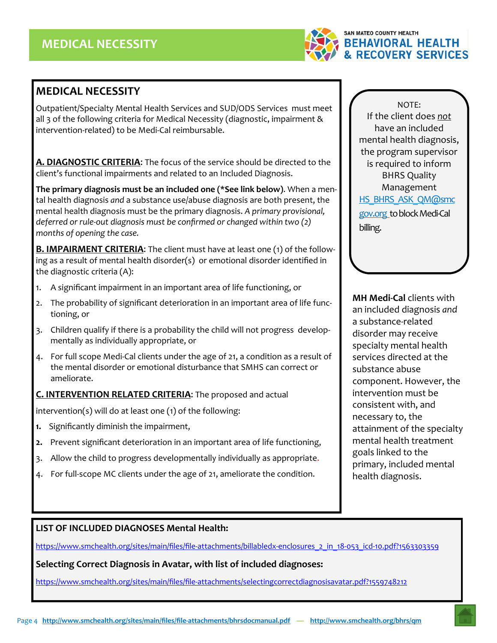

## **MEDICAL NECESSITY**

Outpatient/Specialty Mental Health Services and SUD/ODS Services must meet all 3 of the following criteria for Medical Necessity (diagnostic, impairment & intervention‐related) to be Medi‐Cal reimbursable.

**A. DIAGNOSTIC CRITERIA**: The focus of the service should be directed to the client's functional impairments and related to an Included Diagnosis.

**The primary diagnosis must be an included one (\*See link below)**. When a men‐ tal health diagnosis *and* a substance use/abuse diagnosis are both present, the mental health diagnosis must be the primary diagnosis. *A primary provisional, deferred or rule‐out diagnosis must be confirmed or changed within two (2) months of opening the case.* 

**B. IMPAIRMENT CRITERIA**: The client must have at least one (1) of the follow‐ ing as a result of mental health disorder(s) or emotional disorder identified in the diagnostic criteria (A):

- 1. A significant impairment in an important area of life functioning, or
- 2. The probability of significant deterioration in an important area of life functioning, or
- 3. Children qualify if there is a probability the child will not progress develop‐ mentally as individually appropriate, or
- 4. For full scope Medi‐Cal clients under the age of 21, a condition as a result of the mental disorder or emotional disturbance that SMHS can correct or ameliorate.

**C. INTERVENTION RELATED CRITERIA**: The proposed and actual

intervention(s) will do at least one (1) of the following:

- **1.** Significantly diminish the impairment,
- **2.** Prevent significant deterioration in an important area of life functioning,
- 3. Allow the child to progress developmentally individually as appropriate.
- 4. For full‐scope MC clients under the age of 21, ameliorate the condition.

NOTE: If the client does *not* have an included mental health diagnosis, the program supervisor is required to inform BHRS Quality Management HS\_BHRS\_ASK\_QM@smc gov.org to block Medi-Cal billing.

**MH Medi‐Cal** clients with an included diagnosis *and* a substance‐related disorder may receive specialty mental health services directed at the substance abuse component. However, the intervention must be consistent with, and necessary to, the attainment of the specialty mental health treatment goals linked to the primary, included mental health diagnosis.

#### **LIST OF INCLUDED DIAGNOSES Mental Health:**

https://www.smchealth.org/sites/main/files/file-attachments/billabledx-enclosures\_2\_in\_18-053\_icd-10.pdf?1563303359

**Selecting Correct Diagnosis in Avatar, with list of included diagnoses:** 

https://www.smchealth.org/sites/main/files/file‐attachments/selectingcorrectdiagnosisavatar.pdf?1559748212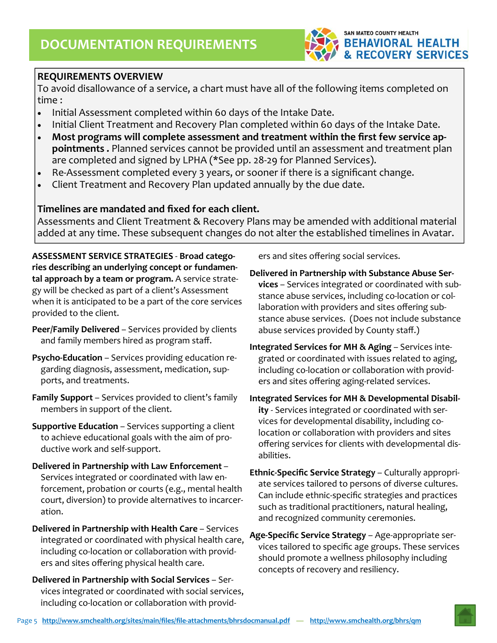

#### **REQUIREMENTS OVERVIEW**

To avoid disallowance of a service, a chart must have all of the following items completed on time :

- Initial Assessment completed within 60 days of the Intake Date.
- Initial Client Treatment and Recovery Plan completed within 60 days of the Intake Date.
- **Most programs will complete assessment and treatment within the first few service ap‐ pointments .** Planned services cannot be provided until an assessment and treatment plan are completed and signed by LPHA (\*See pp. 28‐29 for Planned Services).
- Re-Assessment completed every 3 years, or sooner if there is a significant change.
- Client Treatment and Recovery Plan updated annually by the due date.

#### **Timelines are mandated and fixed for each client.**

Assessments and Client Treatment & Recovery Plans may be amended with additional material added at any time. These subsequent changes do not alter the established timelines in Avatar.

**ASSESSMENT SERVICE STRATEGIES** ‐ **Broad catego‐ ries describing an underlying concept or fundamen‐ tal approach by a team or program.** A service strate‐ gy will be checked as part of a client's Assessment when it is anticipated to be a part of the core services provided to the client.

- **Peer/Family Delivered** Services provided by clients and family members hired as program staff.
- **Psycho‐Education**  Services providing education re‐ garding diagnosis, assessment, medication, sup‐ ports, and treatments.
- **Family Support** Services provided to client's family members in support of the client.

**Supportive Education** – Services supporting a client to achieve educational goals with the aim of pro‐ ductive work and self‐support.

- **Delivered in Partnership with Law Enforcement** Services integrated or coordinated with law en‐ forcement, probation or courts (e.g., mental health court, diversion) to provide alternatives to incarcer‐ ation.
- **Delivered in Partnership with Health Care** Services integrated or coordinated with physical health care, including co‐location or collaboration with provid‐ ers and sites offering physical health care.
- **Delivered in Partnership with Social Services** Ser‐ vices integrated or coordinated with social services, including co‐location or collaboration with provid‐

ers and sites offering social services.

**Delivered in Partnership with Substance Abuse Ser‐ vices** – Services integrated or coordinated with sub‐ stance abuse services, including co-location or collaboration with providers and sites offering sub‐ stance abuse services. (Does not include substance abuse services provided by County staff.)

- **Integrated Services for MH & Aging** Services inte‐ grated or coordinated with issues related to aging, including co‐location or collaboration with provid‐ ers and sites offering aging‐related services.
- **Integrated Services for MH & Developmental Disabil‐ ity** - Services integrated or coordinated with services for developmental disability, including co‐ location or collaboration with providers and sites offering services for clients with developmental dis‐ abilities.
- **Ethnic‐Specific Service Strategy** Culturally appropri‐ ate services tailored to persons of diverse cultures. Can include ethnic‐specific strategies and practices such as traditional practitioners, natural healing, and recognized community ceremonies.
- **Age‐Specific Service Strategy** Age‐appropriate ser‐ vices tailored to specific age groups. These services should promote a wellness philosophy including concepts of recovery and resiliency.

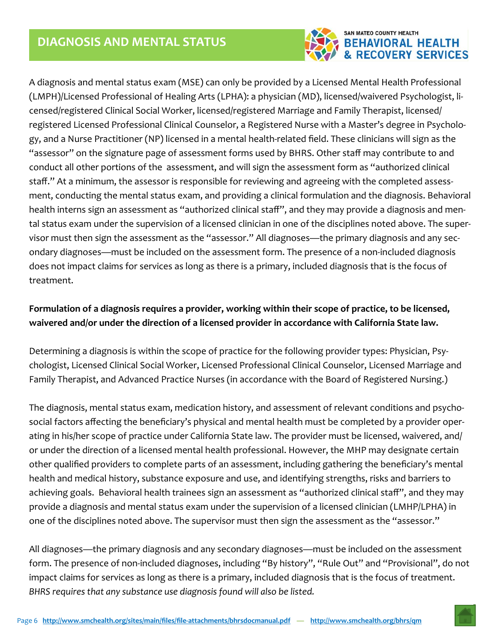

*manual*  (LMPH)/Licensed Professional of Healing Arts (LPHA): a physician (MD), licensed/waivered Psychologist, li‐ A diagnosis and mental status exam (MSE) can only be provided by a Licensed Mental Health Professional censed/registered Clinical Social Worker, licensed/registered Marriage and Family Therapist, licensed/ registered Licensed Professional Clinical Counselor, a Registered Nurse with a Master's degree in Psycholo‐ gy, and a Nurse Practitioner (NP) licensed in a mental health‐related field. These clinicians will sign as the "assessor" on the signature page of assessment forms used by BHRS. Other staff may contribute to and conduct all other portions of the assessment, and will sign the assessment form as "authorized clinical staff." At a minimum, the assessor is responsible for reviewing and agreeing with the completed assess‐ ment, conducting the mental status exam, and providing a clinical formulation and the diagnosis. Behavioral health interns sign an assessment as "authorized clinical staff", and they may provide a diagnosis and mental status exam under the supervision of a licensed clinician in one of the disciplines noted above. The super‐ visor must then sign the assessment as the "assessor." All diagnoses—the primary diagnosis and any sec‐ ondary diagnoses—must be included on the assessment form. The presence of a non‐included diagnosis does not impact claims for services as long as there is a primary, included diagnosis that is the focus of treatment.

## **Formulation of a diagnosis requires a provider, working within their scope of practice, to be licensed, waivered and/or under the direction of a licensed provider in accordance with California State law.**

Determining a diagnosis is within the scope of practice for the following provider types: Physician, Psychologist, Licensed Clinical Social Worker, Licensed Professional Clinical Counselor, Licensed Marriage and Family Therapist, and Advanced Practice Nurses (in accordance with the Board of Registered Nursing.)

The diagnosis, mental status exam, medication history, and assessment of relevant conditions and psycho‐ social factors affecting the beneficiary's physical and mental health must be completed by a provider oper‐ ating in his/her scope of practice under California State law. The provider must be licensed, waivered, and/ or under the direction of a licensed mental health professional. However, the MHP may designate certain other qualified providers to complete parts of an assessment, including gathering the beneficiary's mental health and medical history, substance exposure and use, and identifying strengths, risks and barriers to achieving goals. Behavioral health trainees sign an assessment as "authorized clinical staff", and they may provide a diagnosis and mental status exam under the supervision of a licensed clinician (LMHP/LPHA) in one of the disciplines noted above. The supervisor must then sign the assessment as the "assessor."

All diagnoses—the primary diagnosis and any secondary diagnoses—must be included on the assessment form. The presence of non-included diagnoses, including "By history", "Rule Out" and "Provisional", do not impact claims for services as long as there is a primary, included diagnosis that is the focus of treatment. *BHRS requires that any substance use diagnosis found will also be listed.* 

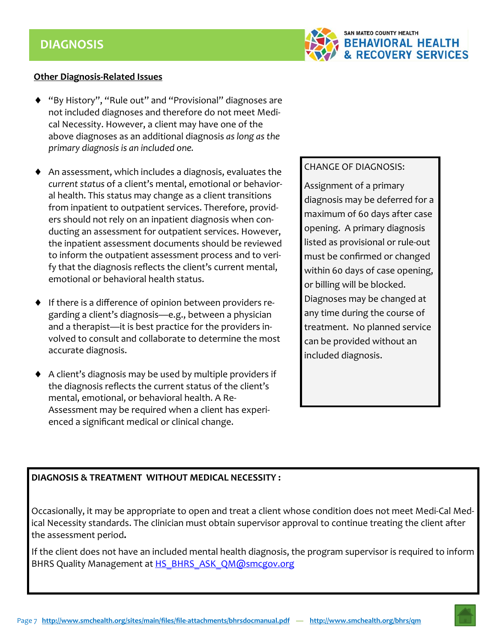

#### **Other Diagnosis‐Related Issues**

- "By History", "Rule out" and "Provisional" diagnoses are not included diagnoses and therefore do not meet Medi‐ cal Necessity. However, a client may have one of the above diagnoses as an additional diagnosis *as long as the primary diagnosis is an included one.*
- An assessment, which includes a diagnosis, evaluates the *current status* of a client's mental, emotional or behavior‐ al health. This status may change as a client transitions from inpatient to outpatient services. Therefore, provid‐ ers should not rely on an inpatient diagnosis when con‐ ducting an assessment for outpatient services. However, the inpatient assessment documents should be reviewed to inform the outpatient assessment process and to veri‐ fy that the diagnosis reflects the client's current mental, emotional or behavioral health status.
- ◆ If there is a difference of opinion between providers regarding a client's diagnosis—e.g., between a physician and a therapist—it is best practice for the providers in‐ volved to consult and collaborate to determine the most accurate diagnosis.
- A client's diagnosis may be used by multiple providers if the diagnosis reflects the current status of the client's mental, emotional, or behavioral health. A Re‐ Assessment may be required when a client has experi‐ enced a significant medical or clinical change.

#### CHANGE OF DIAGNOSIS:

Assignment of a primary diagnosis may be deferred for a maximum of 60 days after case opening. A primary diagnosis listed as provisional or rule‐out must be confirmed or changed within 60 days of case opening, or billing will be blocked. Diagnoses may be changed at any time during the course of treatment. No planned service can be provided without an included diagnosis.

#### **DIAGNOSIS & TREATMENT WITHOUT MEDICAL NECESSITY :**

Occasionally, it may be appropriate to open and treat a client whose condition does not meet Medi‐Cal Med‐ ical Necessity standards. The clinician must obtain supervisor approval to continue treating the client after the assessment period**.** 

If the client does not have an included mental health diagnosis, the program supervisor is required to inform BHRS Quality Management at HS\_BHRS\_ASK\_QM@smcgov.org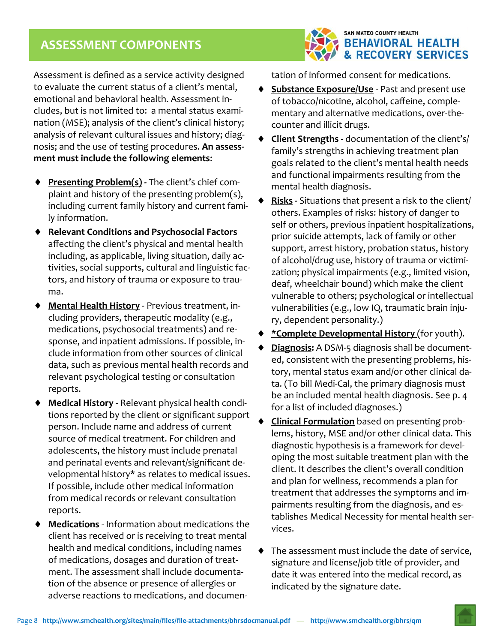## **ASSESSMENT COMPONENTS**



Assessment is defined as a service activity designed to evaluate the current status of a client's mental, emotional and behavioral health. Assessment in‐ cludes, but is not limited to: a mental status exami‐ nation (MSE); analysis of the client's clinical history; analysis of relevant cultural issues and history; diag‐ nosis; and the use of testing procedures. **An assess‐ ment must include the following elements**:

- ◆ **Presenting Problem(s) •** The client's chief complaint and history of the presenting problem(s), including current family history and current fami‐ ly information.
- **Relevant Conditions and Psychosocial Factors**  affecting the client's physical and mental health including, as applicable, living situation, daily ac‐ tivities, social supports, cultural and linguistic fac‐ tors, and history of trauma or exposure to trau‐ ma.
- **Mental Health History** ‐ Previous treatment, in‐ cluding providers, therapeutic modality (e.g., medications, psychosocial treatments) and re‐ sponse, and inpatient admissions. If possible, in‐ clude information from other sources of clinical data, such as previous mental health records and relevant psychological testing or consultation reports.
- **Medical History** ‐ Relevant physical health condi‐ tions reported by the client or significant support person. Include name and address of current source of medical treatment. For children and adolescents, the history must include prenatal and perinatal events and relevant/significant de‐ velopmental history\* as relates to medical issues. If possible, include other medical information from medical records or relevant consultation reports.
- **Medications** ‐ Information about medications the client has received or is receiving to treat mental health and medical conditions, including names of medications, dosages and duration of treat‐ ment. The assessment shall include documenta‐ tion of the absence or presence of allergies or adverse reactions to medications, and documen‐

tation of informed consent for medications.

- ◆ **Substance Exposure/Use** Past and present use of tobacco/nicotine, alcohol, caffeine, comple‐ mentary and alternative medications, over-thecounter and illicit drugs.
- **Client Strengths ‐** documentation of the client's/ family's strengths in achieving treatment plan goals related to the client's mental health needs and functional impairments resulting from the mental health diagnosis.
- **Risks ‐** Situations that present a risk to the client/ others. Examples of risks: history of danger to self or others, previous inpatient hospitalizations, prior suicide attempts, lack of family or other support, arrest history, probation status, history of alcohol/drug use, history of trauma or victimi‐ zation; physical impairments (e.g., limited vision, deaf, wheelchair bound) which make the client vulnerable to others; psychological or intellectual vulnerabilities (e.g., low IQ, traumatic brain inju‐ ry, dependent personality.)
- **\*Complete Developmental History** (for youth).
- **Diagnosis:** A DSM‐5 diagnosis shall be document‐ ed, consistent with the presenting problems, his‐ tory, mental status exam and/or other clinical da‐ ta. (To bill Medi‐Cal, the primary diagnosis must be an included mental health diagnosis. See p. 4 for a list of included diagnoses.)
- **Clinical Formulation** based on presenting prob‐ lems, history, MSE and/or other clinical data. This diagnostic hypothesis is a framework for devel‐ oping the most suitable treatment plan with the client. It describes the client's overall condition and plan for wellness, recommends a plan for treatment that addresses the symptoms and im‐ pairments resulting from the diagnosis, and es‐ tablishes Medical Necessity for mental health ser‐ vices.
- The assessment must include the date of service, signature and license/job title of provider, and date it was entered into the medical record, as indicated by the signature date.

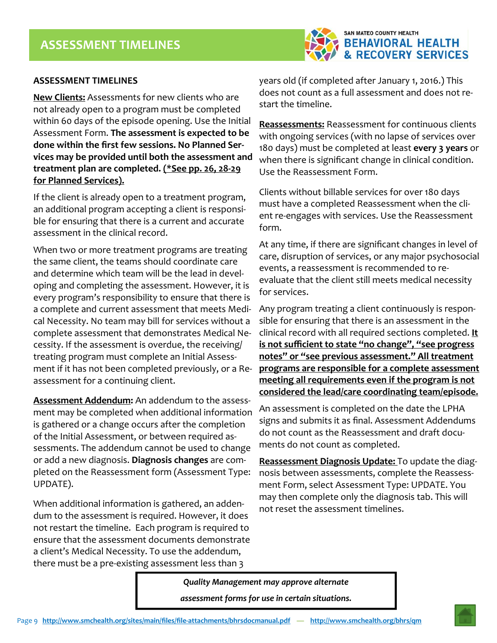

#### **ASSESSMENT TIMELINES**

**New Clients:** Assessments for new clients who are not already open to a program must be completed within 60 days of the episode opening. Use the Initial Assessment Form. **The assessment is expected to be done within the first few sessions. No Planned Ser‐ vices may be provided until both the assessment and treatment plan are completed. (\*See pp. 26, 28‐29 for Planned Services).** 

If the client is already open to a treatment program, an additional program accepting a client is responsi‐ ble for ensuring that there is a current and accurate assessment in the clinical record.

When two or more treatment programs are treating the same client, the teams should coordinate care and determine which team will be the lead in devel‐ oping and completing the assessment. However, it is every program's responsibility to ensure that there is a complete and current assessment that meets Medi‐ cal Necessity. No team may bill for services without a complete assessment that demonstrates Medical Ne‐ cessity. If the assessment is overdue, the receiving/ treating program must complete an Initial Assess‐ ment if it has not been completed previously, or a Re‐ assessment for a continuing client.

**Assessment Addendum:** An addendum to the assess‐ ment may be completed when additional information is gathered or a change occurs after the completion of the Initial Assessment, or between required as‐ sessments. The addendum cannot be used to change or add a new diagnosis. **Diagnosis changes** are com‐ pleted on the Reassessment form (Assessment Type: UPDATE).

When additional information is gathered, an adden‐ dum to the assessment is required. However, it does not restart the timeline. Each program is required to ensure that the assessment documents demonstrate a client's Medical Necessity. To use the addendum, there must be a pre‐existing assessment less than 3

years old (if completed after January 1, 2016.) This does not count as a full assessment and does not re‐ start the timeline.

**Reassessments:** Reassessment for continuous clients with ongoing services (with no lapse of services over 180 days) must be completed at least **every 3 years** or when there is significant change in clinical condition. Use the Reassessment Form.

Clients without billable services for over 180 days must have a completed Reassessment when the cli‐ ent re-engages with services. Use the Reassessment form.

At any time, if there are significant changes in level of care, disruption of services, or any major psychosocial events, a reassessment is recommended to re‐ evaluate that the client still meets medical necessity for services.

Any program treating a client continuously is respon‐ sible for ensuring that there is an assessment in the clinical record with all required sections completed. **It is not sufficient to state "no change", "see progress notes" or "see previous assessment." All treatment programs are responsible for a complete assessment meeting all requirements even if the program is not considered the lead/care coordinating team/episode.**

An assessment is completed on the date the LPHA signs and submits it as final. Assessment Addendums do not count as the Reassessment and draft docu‐ ments do not count as completed.

**Reassessment Diagnosis Update:** To update the diag‐ nosis between assessments, complete the Reassess‐ ment Form, select Assessment Type: UPDATE. You may then complete only the diagnosis tab. This will not reset the assessment timelines.

*Quality Management may approve alternate assessment forms for use in certain situations.*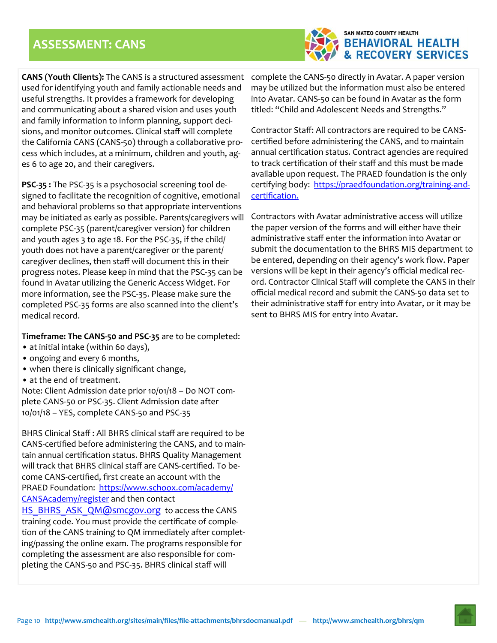## **ASSESSMENT: CANS**



**CANS (Youth Clients):** The CANS is a structured assessment used for identifying youth and family actionable needs and useful strengths. It provides a framework for developing and communicating about a shared vision and uses youth and family information to inform planning, support deci‐ sions, and monitor outcomes. Clinical staff will complete the California CANS (CANS‐50) through a collaborative pro‐ cess which includes, at a minimum, children and youth, ag‐ es 6 to age 20, and their caregivers.

**PSC‐35 :** The PSC‐35 is a psychosocial screening tool de‐ signed to facilitate the recognition of cognitive, emotional and behavioral problems so that appropriate interventions may be initiated as early as possible. Parents/caregivers will complete PSC‐35 (parent/caregiver version) for children and youth ages 3 to age 18. For the PSC‐35, if the child/ youth does not have a parent/caregiver or the parent/ caregiver declines, then staff will document this in their progress notes. Please keep in mind that the PSC‐35 can be found in Avatar utilizing the Generic Access Widget. For more information, see the PSC‐35. Please make sure the completed PSC‐35 forms are also scanned into the client's medical record.

**Timeframe: The CANS‐50 and PSC‐35** are to be completed:

- at initial intake (within 60 days),
- ongoing and every 6 months,
- when there is clinically significant change,
- at the end of treatment.

Note: Client Admission date prior 10/01/18 – Do NOT com‐ plete CANS‐50 or PSC‐35. Client Admission date after 10/01/18 – YES, complete CANS‐50 and PSC‐35

BHRS Clinical Staff : All BHRS clinical staff are required to be CANS‐certified before administering the CANS, and to main‐ tain annual certification status. BHRS Quality Management will track that BHRS clinical staff are CANS‐certified. To be‐ come CANS‐certified, first create an account with the PRAED Foundation: https://www.schoox.com/academy/ CANSAcademy/register and then contact HS\_BHRS\_ASK\_QM@smcgov.org to access the CANS training code. You must provide the certificate of comple‐ tion of the CANS training to QM immediately after complet‐ ing/passing the online exam. The programs responsible for completing the assessment are also responsible for com‐ pleting the CANS‐50 and PSC‐35. BHRS clinical staff will

complete the CANS‐50 directly in Avatar. A paper version may be utilized but the information must also be entered into Avatar. CANS‐50 can be found in Avatar as the form titled: "Child and Adolescent Needs and Strengths."

Contractor Staff: All contractors are required to be CANS‐ certified before administering the CANS, and to maintain annual certification status. Contract agencies are required to track certification of their staff and this must be made available upon request. The PRAED foundation is the only certifying body: https://praedfoundation.org/training-andcertification.

Contractors with Avatar administrative access will utilize the paper version of the forms and will either have their administrative staff enter the information into Avatar or submit the documentation to the BHRS MIS department to be entered, depending on their agency's work flow. Paper versions will be kept in their agency's official medical rec‐ ord. Contractor Clinical Staff will complete the CANS in their official medical record and submit the CANS‐50 data set to their administrative staff for entry into Avatar, or it may be sent to BHRS MIS for entry into Avatar.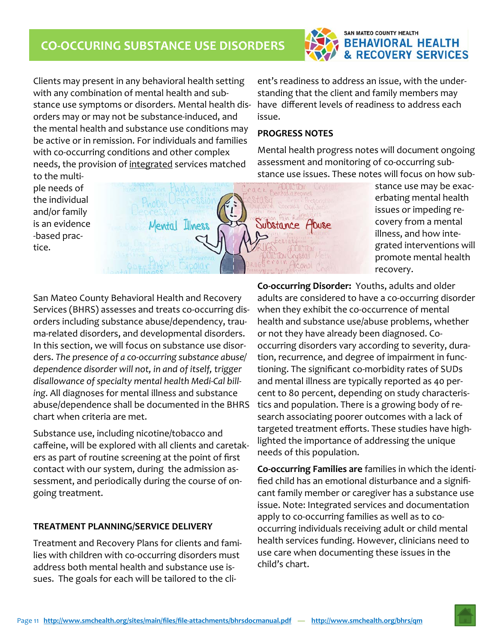## **CO‐OCCURING SUBSTANCE USE DISORDERS**



*manual*  with any combination of mental health and sub‐ Clients may present in any behavioral health setting stance use symptoms or disorders. Mental health dis‐ orders may or may not be substance‐induced, and the mental health and substance use conditions may be active or in remission. For individuals and families with co-occurring conditions and other complex needs, the provision of integrated services matched

ent's readiness to address an issue, with the under‐ standing that the client and family members may have different levels of readiness to address each issue.

#### **PROGRESS NOTES**

Mental health progress notes will document ongoing assessment and monitoring of co‐occurring sub‐ stance use issues. These notes will focus on how sub‐

to the multi‐ ple needs of the individual and/or family is an evidence ‐based prac‐ tice.



stance use may be exac‐ erbating mental health issues or impeding re‐ covery from a mental illness, and how inte‐ grated interventions will promote mental health recovery.

San Mateo County Behavioral Health and Recovery Services (BHRS) assesses and treats co‐occurring dis‐ orders including substance abuse/dependency, trau‐ ma‐related disorders, and developmental disorders. In this section, we will focus on substance use disor‐ ders. *The presence of a co‐occurring substance abuse/ dependence disorder will not, in and of itself, trigger disallowance of specialty mental health Medi‐Cal bill‐ ing*. All diagnoses for mental illness and substance abuse/dependence shall be documented in the BHRS chart when criteria are met.

Substance use, including nicotine/tobacco and caffeine, will be explored with all clients and caretak‐ ers as part of routine screening at the point of first contact with our system, during the admission as‐ sessment, and periodically during the course of on‐ going treatment.

#### **TREATMENT PLANNING/SERVICE DELIVERY**

Treatment and Recovery Plans for clients and fami‐ lies with children with co‐occurring disorders must address both mental health and substance use is‐ sues. The goals for each will be tailored to the cli‐

**Co‐occurring Disorder:** Youths, adults and older adults are considered to have a co‐occurring disorder when they exhibit the co-occurrence of mental health and substance use/abuse problems, whether or not they have already been diagnosed. Co‐ occurring disorders vary according to severity, dura‐ tion, recurrence, and degree of impairment in func‐ tioning. The significant co‐morbidity rates of SUDs and mental illness are typically reported as 40 per‐ cent to 80 percent, depending on study characteris‐ tics and population. There is a growing body of re‐ search associating poorer outcomes with a lack of targeted treatment efforts. These studies have high‐ lighted the importance of addressing the unique needs of this population.

**Co‐occurring Families are** families in which the identi‐ fied child has an emotional disturbance and a signifi‐ cant family member or caregiver has a substance use issue. Note: Integrated services and documentation apply to co-occurring families as well as to cooccurring individuals receiving adult or child mental health services funding. However, clinicians need to use care when documenting these issues in the child's chart.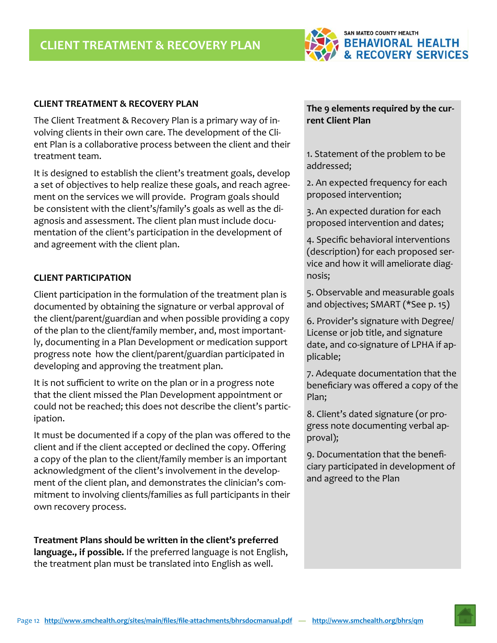

#### **CLIENT TREATMENT & RECOVERY PLAN**

The Client Treatment & Recovery Plan is a primary way of in‐ volving clients in their own care. The development of the Client Plan is a collaborative process between the client and their treatment team.

It is designed to establish the client's treatment goals, develop a set of objectives to help realize these goals, and reach agree‐ ment on the services we will provide. Program goals should be consistent with the client's/family's goals as well as the di‐ agnosis and assessment. The client plan must include documentation of the client's participation in the development of and agreement with the client plan.

#### **CLIENT PARTICIPATION**

Client participation in the formulation of the treatment plan is documented by obtaining the signature or verbal approval of the client/parent/guardian and when possible providing a copy of the plan to the client/family member, and, most important‐ ly, documenting in a Plan Development or medication support progress note how the client/parent/guardian participated in developing and approving the treatment plan.

It is not sufficient to write on the plan or in a progress note that the client missed the Plan Development appointment or could not be reached; this does not describe the client's partic‐ ipation.

It must be documented if a copy of the plan was offered to the client and if the client accepted or declined the copy. Offering a copy of the plan to the client/family member is an important acknowledgment of the client's involvement in the develop‐ ment of the client plan, and demonstrates the clinician's commitment to involving clients/families as full participants in their own recovery process.

**Treatment Plans should be written in the client's preferred language., if possible.** If the preferred language is not English, the treatment plan must be translated into English as well.

#### **The 9 elements required by the cur‐ rent Client Plan**

1. Statement of the problem to be addressed;

2. An expected frequency for each proposed intervention;

3. An expected duration for each proposed intervention and dates;

4. Specific behavioral interventions (description) for each proposed ser‐ vice and how it will ameliorate diag‐ nosis;

5. Observable and measurable goals and objectives; SMART (\*See p. 15)

6. Provider's signature with Degree/ License or job title, and signature date, and co‐signature of LPHA if ap‐ plicable;

7. Adequate documentation that the beneficiary was offered a copy of the Plan;

8. Client's dated signature (or pro‐ gress note documenting verbal ap‐ proval);

9. Documentation that the benefi‐ ciary participated in development of and agreed to the Plan

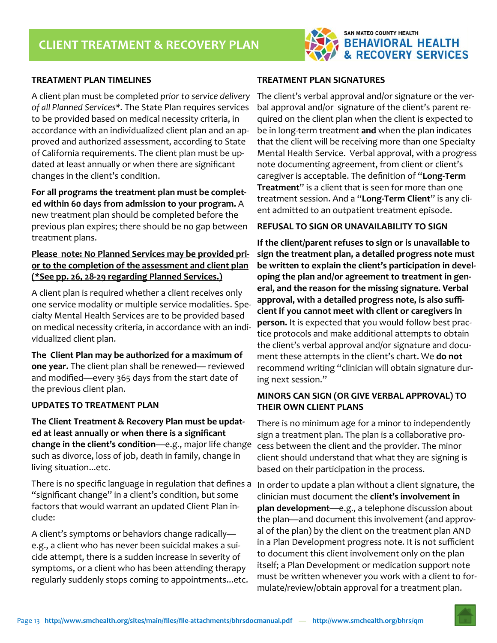

#### **TREATMENT PLAN TIMELINES**

A client plan must be completed *prior to service delivery of all Planned Services\*.* The State Plan requires services to be provided based on medical necessity criteria, in accordance with an individualized client plan and an ap‐ proved and authorized assessment, according to State of California requirements. The client plan must be up‐ dated at least annually or when there are significant changes in the client's condition.

**For all programs the treatment plan must be complet‐ ed within 60 days from admission to your program.** A new treatment plan should be completed before the previous plan expires; there should be no gap between treatment plans.

#### **Please note: No Planned Services may be provided pri‐ or to the completion of the assessment and client plan (\*See pp. 26, 28‐29 regarding Planned Services.)**

A client plan is required whether a client receives only one service modality or multiple service modalities. Spe‐ cialty Mental Health Services are to be provided based on medical necessity criteria, in accordance with an indi‐ vidualized client plan.

**The Client Plan may be authorized for a maximum of one year.** The client plan shall be renewed— reviewed and modified—every 365 days from the start date of the previous client plan.

#### **UPDATES TO TREATMENT PLAN**

**The Client Treatment & Recovery Plan must be updat‐ ed at least annually or when there is a significant change in the client's condition**—e.g., major life change such as divorce, loss of job, death in family, change in living situation...etc.

There is no specific language in regulation that defines a "significant change" in a client's condition, but some factors that would warrant an updated Client Plan in‐ clude:

A client's symptoms or behaviors change radically e.g., a client who has never been suicidal makes a sui‐ cide attempt, there is a sudden increase in severity of symptoms, or a client who has been attending therapy regularly suddenly stops coming to appointments...etc.

#### **TREATMENT PLAN SIGNATURES**

The client's verbal approval and/or signature or the ver‐ bal approval and/or signature of the client's parent re‐ quired on the client plan when the client is expected to be in long‐term treatment **and** when the plan indicates that the client will be receiving more than one Specialty Mental Health Service. Verbal approval, with a progress note documenting agreement, from client or client's caregiver is acceptable. The definition of "**Long‐Term Treatment**" is a client that is seen for more than one treatment session. And a "**Long‐Term Client**" is any cli‐ ent admitted to an outpatient treatment episode.

#### **REFUSAL TO SIGN OR UNAVAILABILITY TO SIGN**

**If the client/parent refuses to sign or is unavailable to sign the treatment plan, a detailed progress note must be written to explain the client's participation in devel‐ oping the plan and/or agreement to treatment in gen‐ eral, and the reason for the missing signature. Verbal approval, with a detailed progress note, is also suffi‐ cient if you cannot meet with client or caregivers in person.** It is expected that you would follow best prac‐ tice protocols and make additional attempts to obtain the client's verbal approval and/or signature and docu‐ ment these attempts in the client's chart. We **do not**  recommend writing "clinician will obtain signature dur‐ ing next session."

#### **MINORS CAN SIGN (OR GIVE VERBAL APPROVAL) TO THEIR OWN CLIENT PLANS**

There is no minimum age for a minor to independently sign a treatment plan. The plan is a collaborative pro‐ cess between the client and the provider. The minor client should understand that what they are signing is based on their participation in the process.

In order to update a plan without a client signature, the clinician must document the **client's involvement in plan development**—e.g., a telephone discussion about the plan—and document this involvement (and approv‐ al of the plan) by the client on the treatment plan AND in a Plan Development progress note. It is not sufficient to document this client involvement only on the plan itself; a Plan Development or medication support note must be written whenever you work with a client to for‐ mulate/review/obtain approval for a treatment plan.

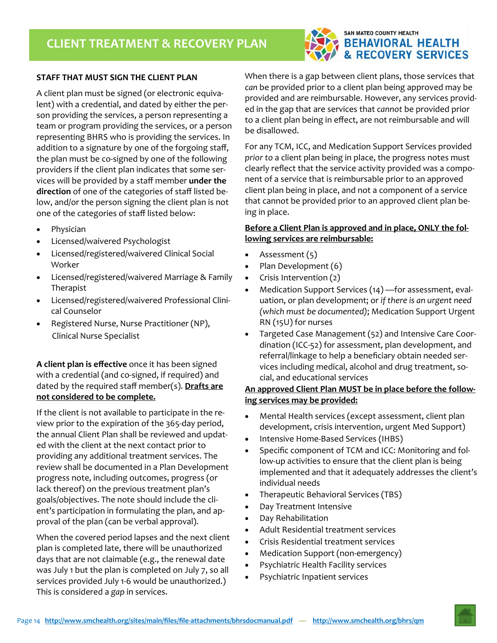

#### **STAFF THAT MUST SIGN THE CLIENT PLAN**

A client plan must be signed (or electronic equiva‐ lent) with a credential, and dated by either the per‐ son providing the services, a person representing a team or program providing the services, or a person representing BHRS who is providing the services. In addition to a signature by one of the forgoing staff, the plan must be co‐signed by one of the following providers if the client plan indicates that some ser‐ vices will be provided by a staff member **under the direction** of one of the categories of staff listed be‐ low, and/or the person signing the client plan is not one of the categories of staff listed below:

- Physician
- Licensed/waivered Psychologist
- Licensed/registered/waivered Clinical Social Worker
- Licensed/registered/waivered Marriage & Family Therapist
- Licensed/registered/waivered Professional Clini‐ cal Counselor
- Registered Nurse, Nurse Practitioner (NP), Clinical Nurse Specialist

**A client plan is effective** once it has been signed with a credential (and co-signed, if required) and dated by the required staff member(s). **Drafts are not considered to be complete.**

If the client is not available to participate in the re‐ view prior to the expiration of the 365‐day period, the annual Client Plan shall be reviewed and updat‐ ed with the client at the next contact prior to providing any additional treatment services. The review shall be documented in a Plan Development progress note, including outcomes, progress (or lack thereof) on the previous treatment plan's goals/objectives. The note should include the cli‐ ent's participation in formulating the plan, and ap‐ proval of the plan (can be verbal approval).

When the covered period lapses and the next client plan is completed late, there will be unauthorized days that are not claimable (e.g., the renewal date was July 1 but the plan is completed on July 7, so all services provided July 1-6 would be unauthorized.) This is considered a *gap* in services.

When there is a gap between client plans, those services that *can* be provided prior to a client plan being approved may be provided and are reimbursable. However, any services provid‐ ed in the gap that are services that *cannot* be provided prior to a client plan being in effect, are not reimbursable and will be disallowed.

For any TCM, ICC, and Medication Support Services provided *prior to* a client plan being in place, the progress notes must clearly reflect that the service activity provided was a compo‐ nent of a service that is reimbursable prior to an approved client plan being in place, and not a component of a service that cannot be provided prior to an approved client plan be‐ ing in place.

#### **Before a Client Plan is approved and in place, ONLY the fol‐ lowing services are reimbursable:**

- Assessment (5)
- Plan Development (6)
- Crisis Intervention  $(2)$
- Medication Support Services (14) —for assessment, eval‐ uation, or plan development; or *if there is an urgent need (which must be documented)*; Medication Support Urgent RN (15U) for nurses
- Targeted Case Management (52) and Intensive Care Coor‐ dination (ICC‐52) for assessment, plan development, and referral/linkage to help a beneficiary obtain needed ser‐ vices including medical, alcohol and drug treatment, so‐ cial, and educational services

#### **An approved Client Plan MUST be in place before the follow‐ ing services may be provided:**

- Mental Health services (except assessment, client plan development, crisis intervention, urgent Med Support)
- Intensive Home‐Based Services (IHBS)
- Specific component of TCM and ICC: Monitoring and follow-up activities to ensure that the client plan is being implemented and that it adequately addresses the client's individual needs
- Therapeutic Behavioral Services (TBS)
- Day Treatment Intensive
- Day Rehabilitation
- Adult Residential treatment services
- Crisis Residential treatment services
- Medication Support (non-emergency)
- Psychiatric Health Facility services
- Psychiatric Inpatient services

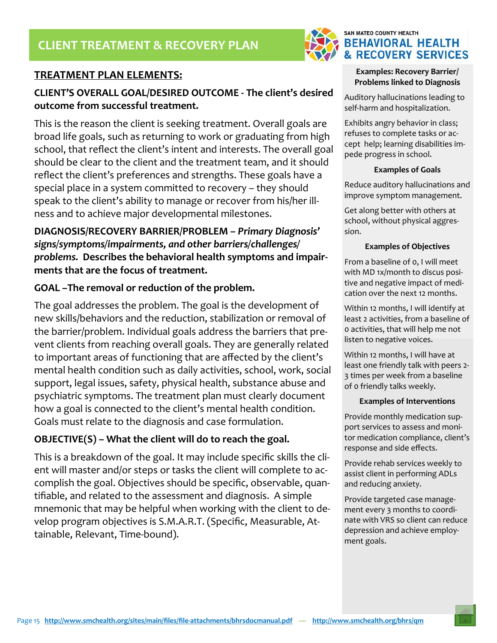## **TREATMENT PLAN ELEMENTS:**

## *manual*  **CLIENT'S OVERALL GOAL/DESIRED OUTCOME ‐ The client's desired outcome from successful treatment.**

This is the reason the client is seeking treatment. Overall goals are broad life goals, such as returning to work or graduating from high school, that reflect the client's intent and interests. The overall goal should be clear to the client and the treatment team, and it should reflect the client's preferences and strengths. These goals have a special place in a system committed to recovery – they should speak to the client's ability to manage or recover from his/her illness and to achieve major developmental milestones.

## **DIAGNOSIS/RECOVERY BARRIER/PROBLEM –** *Primary Diagnosis' signs/symptoms/impairments, and other barriers/challenges/ problems.* **Describes the behavioral health symptoms and impair‐ ments that are the focus of treatment.**

#### **GOAL –The removal or reduction of the problem.**

The goal addresses the problem. The goal is the development of new skills/behaviors and the reduction, stabilization or removal of the barrier/problem. Individual goals address the barriers that pre‐ vent clients from reaching overall goals. They are generally related to important areas of functioning that are affected by the client's mental health condition such as daily activities, school, work, social support, legal issues, safety, physical health, substance abuse and psychiatric symptoms. The treatment plan must clearly document how a goal is connected to the client's mental health condition. Goals must relate to the diagnosis and case formulation.

#### **OBJECTIVE(S) – What the client will do to reach the goal.**

This is a breakdown of the goal. It may include specific skills the cli‐ ent will master and/or steps or tasks the client will complete to accomplish the goal. Objectives should be specific, observable, quan‐ tifiable, and related to the assessment and diagnosis. A simple mnemonic that may be helpful when working with the client to de‐ velop program objectives is S.M.A.R.T. (Specific, Measurable, At‐ tainable, Relevant, Time‐bound).



**BEHAVIORAL HEALTH & RECOVERY SERVICES** 

SAN MATEO COUNTY HEALTH

Auditory hallucinations leading to self‐harm and hospitalization.

Exhibits angry behavior in class; refuses to complete tasks or ac‐ cept help; learning disabilities im‐ pede progress in school.

#### **Examples of Goals**

Reduce auditory hallucinations and improve symptom management.

Get along better with others at school, without physical aggres‐ sion.

#### **Examples of Objectives**

From a baseline of 0, I will meet with MD 1x/month to discus positive and negative impact of medi‐ cation over the next 12 months.

Within 12 months, I will identify at least 2 activities, from a baseline of 0 activities, that will help me not listen to negative voices.

Within 12 months, I will have at least one friendly talk with peers 2‐ 3 times per week from a baseline of 0 friendly talks weekly.

#### **Examples of Interventions**

Provide monthly medication sup‐ port services to assess and moni‐ tor medication compliance, client's response and side effects.

Provide rehab services weekly to assist client in performing ADLs and reducing anxiety.

Provide targeted case manage‐ ment every 3 months to coordinate with VRS so client can reduce depression and achieve employ‐ ment goals.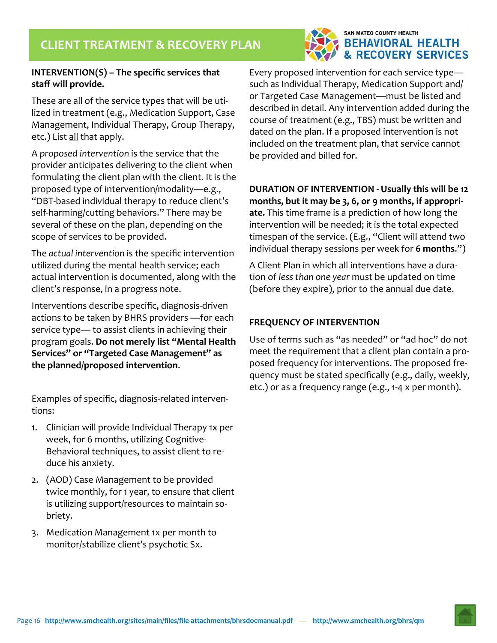### SAN MATEO COUNTY HEALTH **BEHAVIORAL HEALTH & RECOVERY SERVICES**

#### **INTERVENTION(S) – The specific services that staff will provide.**

These are all of the service types that will be uti‐ lized in treatment (e.g., Medication Support, Case Management, Individual Therapy, Group Therapy, etc.) List all that apply.

A *proposed intervention* is the service that the provider anticipates delivering to the client when formulating the client plan with the client. It is the proposed type of intervention/modality—e.g., "DBT‐based individual therapy to reduce client's self‐harming/cutting behaviors." There may be several of these on the plan, depending on the scope of services to be provided.

The *actual intervention* is the specific intervention utilized during the mental health service; each actual intervention is documented, along with the client's response, in a progress note.

Interventions describe specific, diagnosis‐driven actions to be taken by BHRS providers —for each service type— to assist clients in achieving their program goals. **Do not merely list "Mental Health Services" or "Targeted Case Management" as the planned/proposed intervention**.

Examples of specific, diagnosis‐related interven‐ tions:

- 1. Clinician will provide Individual Therapy 1x per week, for 6 months, utilizing Cognitive‐ Behavioral techniques, to assist client to re‐ duce his anxiety.
- 2. (AOD) Case Management to be provided twice monthly, for 1 year, to ensure that client is utilizing support/resources to maintain sobriety.
- 3. Medication Management 1x per month to monitor/stabilize client's psychotic Sx.

Every proposed intervention for each service type such as Individual Therapy, Medication Support and/ or Targeted Case Management—must be listed and described in detail. Any intervention added during the course of treatment (e.g., TBS) must be written and dated on the plan. If a proposed intervention is not included on the treatment plan, that service cannot be provided and billed for.

**DURATION OF INTERVENTION ‐ Usually this will be 12 months, but it may be 3, 6, or 9 months, if appropri‐ ate.** This time frame is a prediction of how long the intervention will be needed; it is the total expected timespan of the service. (E.g., "Client will attend two individual therapy sessions per week for **6 months**.")

A Client Plan in which all interventions have a dura‐ tion of *less than one year* must be updated on time (before they expire), prior to the annual due date.

#### **FREQUENCY OF INTERVENTION**

Use of terms such as "as needed" or "ad hoc" do not meet the requirement that a client plan contain a pro‐ posed frequency for interventions. The proposed fre‐ quency must be stated specifically (e.g., daily, weekly, etc.) or as a frequency range (e.g., 1‐4 x per month).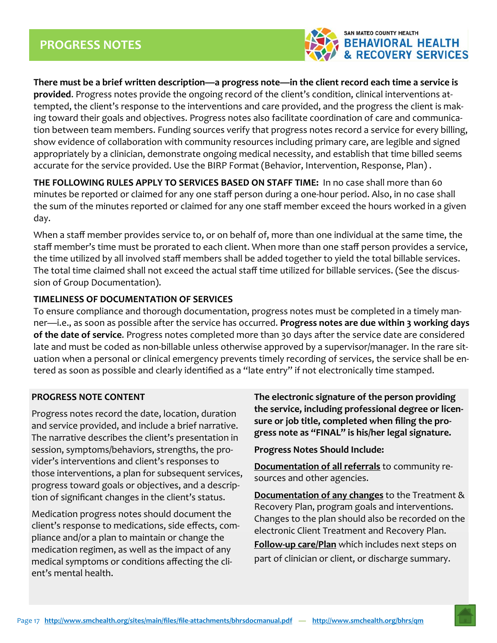

**There must be a brief written description—a progress note—in the client record each time a service is provided**. Progress notes provide the ongoing record of the client's condition, clinical interventions at‐ tempted, the client's response to the interventions and care provided, and the progress the client is mak‐ ing toward their goals and objectives. Progress notes also facilitate coordination of care and communication between team members. Funding sources verify that progress notes record a service for every billing, show evidence of collaboration with community resources including primary care, are legible and signed appropriately by a clinician, demonstrate ongoing medical necessity, and establish that time billed seems accurate for the service provided. Use the BIRP Format (Behavior, Intervention, Response, Plan) .

**THE FOLLOWING RULES APPLY TO SERVICES BASED ON STAFF TIME:** In no case shall more than 60 minutes be reported or claimed for any one staff person during a one‐hour period. Also, in no case shall the sum of the minutes reported or claimed for any one staff member exceed the hours worked in a given day.

When a staff member provides service to, or on behalf of, more than one individual at the same time, the staff member's time must be prorated to each client. When more than one staff person provides a service, the time utilized by all involved staff members shall be added together to yield the total billable services. The total time claimed shall not exceed the actual staff time utilized for billable services. (See the discus‐ sion of Group Documentation).

#### **TIMELINESS OF DOCUMENTATION OF SERVICES**

To ensure compliance and thorough documentation, progress notes must be completed in a timely man‐ ner—i.e., as soon as possible after the service has occurred. **Progress notes are due within 3 working days of the date of service**. Progress notes completed more than 30 days after the service date are considered late and must be coded as non-billable unless otherwise approved by a supervisor/manager. In the rare situation when a personal or clinical emergency prevents timely recording of services, the service shall be entered as soon as possible and clearly identified as a "late entry" if not electronically time stamped.

#### **PROGRESS NOTE CONTENT**

Progress notes record the date, location, duration and service provided, and include a brief narrative. The narrative describes the client's presentation in session, symptoms/behaviors, strengths, the pro‐ vider's interventions and client's responses to those interventions, a plan for subsequent services, progress toward goals or objectives, and a descrip‐ tion of significant changes in the client's status.

Medication progress notes should document the client's response to medications, side effects, com‐ pliance and/or a plan to maintain or change the medication regimen, as well as the impact of any medical symptoms or conditions affecting the cli‐ ent's mental health.

**The electronic signature of the person providing the service, including professional degree or licen‐ sure or job title, completed when filing the pro‐ gress note as "FINAL" is his/her legal signature.** 

**Progress Notes Should Include:** 

**Documentation of all referrals** to community re‐ sources and other agencies.

**Documentation of any changes** to the Treatment & Recovery Plan, program goals and interventions. Changes to the plan should also be recorded on the electronic Client Treatment and Recovery Plan. **Follow‐up care/Plan** which includes next steps on part of clinician or client, or discharge summary.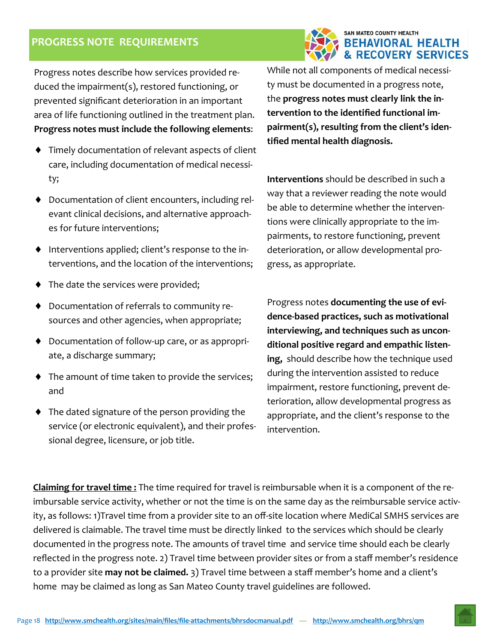## **PROGRESS NOTE REQUIREMENTS**



Progress notes describe how services provided re‐ duced the impairment(s), restored functioning, or prevented significant deterioration in an important area of life functioning outlined in the treatment plan. **Progress notes must include the following elements**:

- Timely documentation of relevant aspects of client care, including documentation of medical necessi‐ ty;
- ◆ Documentation of client encounters, including relevant clinical decisions, and alternative approach‐ es for future interventions;
- ◆ Interventions applied; client's response to the interventions, and the location of the interventions;
- ◆ The date the services were provided;
- ◆ Documentation of referrals to community resources and other agencies, when appropriate;
- ◆ Documentation of follow-up care, or as appropriate, a discharge summary;
- ◆ The amount of time taken to provide the services; and
- The dated signature of the person providing the service (or electronic equivalent), and their professional degree, licensure, or job title.

While not all components of medical necessity must be documented in a progress note, the **progress notes must clearly link the in‐ tervention to the identified functional im‐ pairment(s), resulting from the client's iden‐ tified mental health diagnosis.** 

**Interventions** should be described in such a way that a reviewer reading the note would be able to determine whether the interven‐ tions were clinically appropriate to the im‐ pairments, to restore functioning, prevent deterioration, or allow developmental pro‐ gress, as appropriate.

Progress notes **documenting the use of evi‐ dence‐based practices, such as motivational interviewing, and techniques such as uncon‐ ditional positive regard and empathic listen‐ ing,** should describe how the technique used during the intervention assisted to reduce impairment, restore functioning, prevent de‐ terioration, allow developmental progress as appropriate, and the client's response to the intervention.

**Claiming for travel time :** The time required for travel is reimbursable when it is a component of the re‐ imbursable service activity, whether or not the time is on the same day as the reimbursable service activity, as follows: 1)Travel time from a provider site to an off‐site location where MediCal SMHS services are delivered is claimable. The travel time must be directly linked to the services which should be clearly documented in the progress note. The amounts of travel time and service time should each be clearly reflected in the progress note. 2) Travel time between provider sites or from a staff member's residence to a provider site **may not be claimed.** 3) Travel time between a staff member's home and a client's home may be claimed as long as San Mateo County travel guidelines are followed.

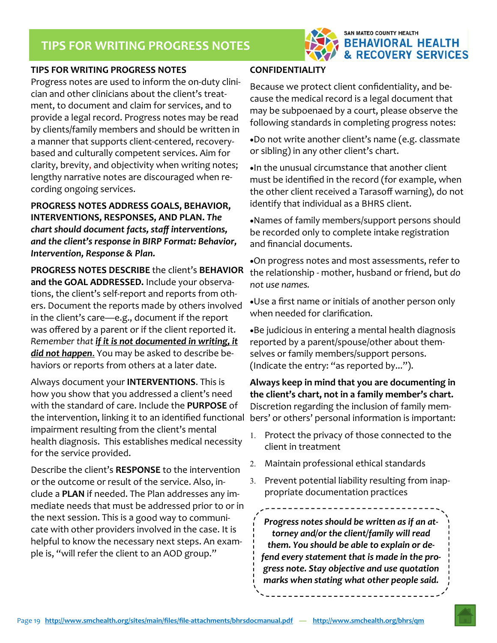

#### **TIPS FOR WRITING PROGRESS NOTES**

*manual*  cian and other clinicians about the client's treat‐ Progress notes are used to inform the on‐duty clini‐ ment, to document and claim for services, and to provide a legal record. Progress notes may be read by clients/family members and should be written in a manner that supports client-centered, recoverybased and culturally competent services. Aim for clarity, brevity, and objectivity when writing notes; lengthy narrative notes are discouraged when re‐ cording ongoing services.

**PROGRESS NOTES ADDRESS GOALS, BEHAVIOR, INTERVENTIONS, RESPONSES, AND PLAN.** *The chart should document facts, staff interventions, and the client's response in BIRP Format: Behavior, Intervention, Response & Plan.*

**PROGRESS NOTES DESCRIBE** the client's **BEHAVIOR and the GOAL ADDRESSED.** Include your observa‐ tions, the client's self‐report and reports from oth‐ ers. Document the reports made by others involved in the client's care—e.g., document if the report was offered by a parent or if the client reported it. *Remember that if it is not documented in writing, it did not happen*. You may be asked to describe be‐ haviors or reports from others at a later date.

Always document your **INTERVENTIONS**. This is how you show that you addressed a client's need with the standard of care. Include the **PURPOSE** of the intervention, linking it to an identified functional impairment resulting from the client's mental health diagnosis. This establishes medical necessity for the service provided.

Describe the client's **RESPONSE** to the intervention or the outcome or result of the service. Also, in‐ clude a **PLAN** if needed. The Plan addresses any im‐ mediate needs that must be addressed prior to or in the next session. This is a good way to communi‐ cate with other providers involved in the case. It is helpful to know the necessary next steps. An exam‐ ple is, "will refer the client to an AOD group."

#### **CONFIDENTIALITY**

Because we protect client confidentiality, and be‐ cause the medical record is a legal document that may be subpoenaed by a court, please observe the following standards in completing progress notes:

Do not write another client's name (e.g. classmate or sibling) in any other client's chart.

In the unusual circumstance that another client must be identified in the record (for example, when the other client received a Tarasoff warning), do not identify that individual as a BHRS client.

Names of family members/support persons should be recorded only to complete intake registration and financial documents.

On progress notes and most assessments, refer to the relationship ‐ mother, husband or friend, but *do not use names.* 

Use a first name or initials of another person only when needed for clarification.

Be judicious in entering a mental health diagnosis reported by a parent/spouse/other about them‐ selves or family members/support persons. (Indicate the entry: "as reported by...").

**Always keep in mind that you are documenting in the client's chart, not in a family member's chart.** Discretion regarding the inclusion of family mem‐ bers' or others' personal information is important:

- 1. Protect the privacy of those connected to the client in treatment
- Maintain professional ethical standards
- 3. Prevent potential liability resulting from inappropriate documentation practices

*Progress notes should be written as if an at‐ torney and/or the client/family will read them. You should be able to explain or de‐ fend every statement that is made in the pro‐ gress note. Stay objective and use quotation marks when stating what other people said.*

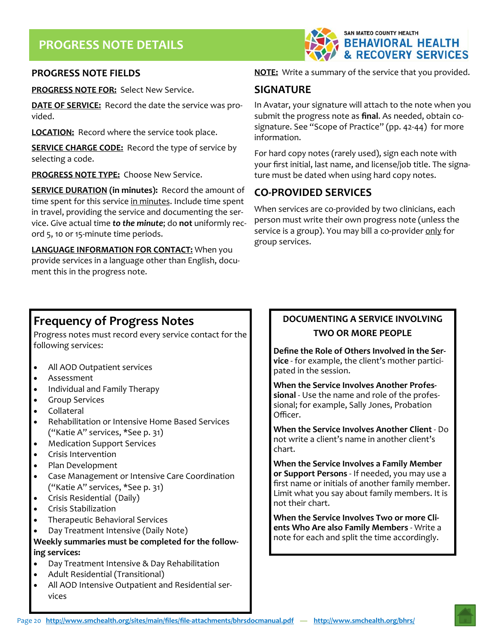

#### **PROGRESS NOTE FIELDS**

*manual*  **PROGRESS NOTE FOR:** Select New Service.

**DATE OF SERVICE:** Record the date the service was pro‐ vided.

**LOCATION:** Record where the service took place.

**SERVICE CHARGE CODE:** Record the type of service by selecting a code.

**PROGRESS NOTE TYPE:** Choose New Service.

**SERVICE DURATION (in minutes):** Record the amount of time spent for this service in minutes. Include time spent in travel, providing the service and documenting the ser‐ vice. Give actual time *to the minute*; do **not** uniformly rec‐ ord 5, 10 or 15‐minute time periods.

**LANGUAGE INFORMATION FOR CONTACT:** When you provide services in a language other than English, docu‐ ment this in the progress note.

#### **NOTE:** Write a summary of the service that you provided.

#### **SIGNATURE**

In Avatar, your signature will attach to the note when you submit the progress note as **final**. As needed, obtain co‐ signature. See "Scope of Practice" (pp. 42-44) for more information.

For hard copy notes (rarely used), sign each note with your first initial, last name, and license/job title. The signa‐ ture must be dated when using hard copy notes.

## **CO‐PROVIDED SERVICES**

When services are co-provided by two clinicians, each person must write their own progress note (unless the service is a group). You may bill a co-provider only for group services.

## **Frequency of Progress Notes**

Progress notes must record every service contact for the following services:

- All AOD Outpatient services
- Assessment
- Individual and Family Therapy
- **•** Group Services
- Collateral
- Rehabilitation or Intensive Home Based Services ("Katie A" services, \*See p. 31)
- Medication Support Services
- Crisis Intervention
- Plan Development
- Case Management or Intensive Care Coordination ("Katie A" services, \*See p. 31)
- Crisis Residential (Daily)
- Crisis Stabilization
- Therapeutic Behavioral Services
- Day Treatment Intensive (Daily Note)

**Weekly summaries must be completed for the follow‐ ing services:** 

- Day Treatment Intensive & Day Rehabilitation
- Adult Residential (Transitional)
- All AOD Intensive Outpatient and Residential ser‐ vices

## **DOCUMENTING A SERVICE INVOLVING**

#### **TWO OR MORE PEOPLE**

**Define the Role of Others Involved in the Ser‐ vice** ‐ for example, the client's mother partici‐ pated in the session.

**When the Service Involves Another Profes‐ sional** ‐ Use the name and role of the profes‐ sional; for example, Sally Jones, Probation Officer.

**When the Service Involves Another Client** ‐ Do not write a client's name in another client's chart.

**When the Service Involves a Family Member or Support Persons** ‐ If needed, you may use a first name or initials of another family member. Limit what you say about family members. It is not their chart.

**When the Service Involves Two or more Cli‐ ents Who Are also Family Members** ‐ Write a note for each and split the time accordingly.

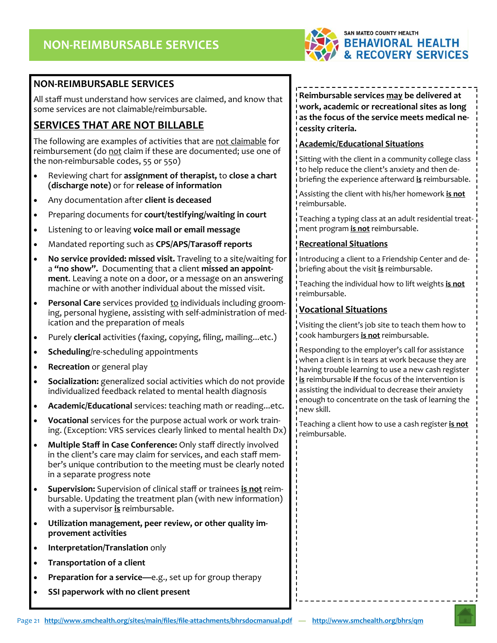

### **NON‐REIMBURSABLE SERVICES**

All staff must understand how services are claimed, and know that some services are not claimable/reimbursable.

## **SERVICES THAT ARE NOT BILLABLE**

The following are examples of activities that are not claimable for reimbursement (do not claim if these are documented; use one of the non‐reimbursable codes, 55 or 550)

- Reviewing chart for **assignment of therapist,** to **close a chart (discharge note)** or for **release of information**
- Any documentation after **client is deceased**
- Preparing documents for **court/testifying/waiting in court**
- Listening to or leaving **voice mail or email message**
- Mandated reporting such as **CPS/APS/Tarasoff reports**
- **No service provided: missed visit.** Traveling to a site/waiting for a **"no show".** Documenting that a client **missed an appoint‐ ment**. Leaving a note on a door, or a message on an answering machine or with another individual about the missed visit.
- Personal Care services provided to individuals including grooming, personal hygiene, assisting with self‐administration of med‐ ication and the preparation of meals
- Purely **clerical** activities (faxing, copying, filing, mailing...etc.)
- **Scheduling**/re‐scheduling appointments
- **Recreation** or general play
- **Socialization:** generalized social activities which do not provide individualized feedback related to mental health diagnosis
- **Academic/Educational** services: teaching math or reading...etc.
- **Vocational** services for the purpose actual work or work train‐ ing. (Exception: VRS services clearly linked to mental health Dx)
- **Multiple Staff in Case Conference:** Only staff directly involved in the client's care may claim for services, and each staff member's unique contribution to the meeting must be clearly noted in a separate progress note
- **Supervision:** Supervision of clinical staff or trainees **is not** reim‐ bursable. Updating the treatment plan (with new information) with a supervisor **is** reimbursable.
- **Utilization management, peer review, or other quality im‐ provement activities**
- **Interpretation/Translation** only
- **Transportation of a client**
- **Preparation for a service—**e.g., set up for group therapy
- **SSI paperwork with no client present**

#### **Reimbursable services may be delivered at work, academic or recreational sites as long as the focus of the service meets medical ne‐ cessity criteria.**

#### **Academic/Educational Situations**

Sitting with the client in a community college class to help reduce the client's anxiety and then de‐ briefing the experience afterward **is** reimbursable.

Assisting the client with his/her homework **is not** reimbursable.

Teaching a typing class at an adult residential treat‐ ment program **is not** reimbursable.

#### **Recreational Situations**

Introducing a client to a Friendship Center and de‐ briefing about the visit **is** reimbursable.

Teaching the individual how to lift weights **is not** reimbursable.

#### **Vocational Situations**

Visiting the client's job site to teach them how to cook hamburgers **is not** reimbursable.

Responding to the employer's call for assistance when a client is in tears at work because they are having trouble learning to use a new cash register **is** reimbursable **if** the focus of the intervention is assisting the individual to decrease their anxiety enough to concentrate on the task of learning the new skill.

Teaching a client how to use a cash register **is not** reimbursable.

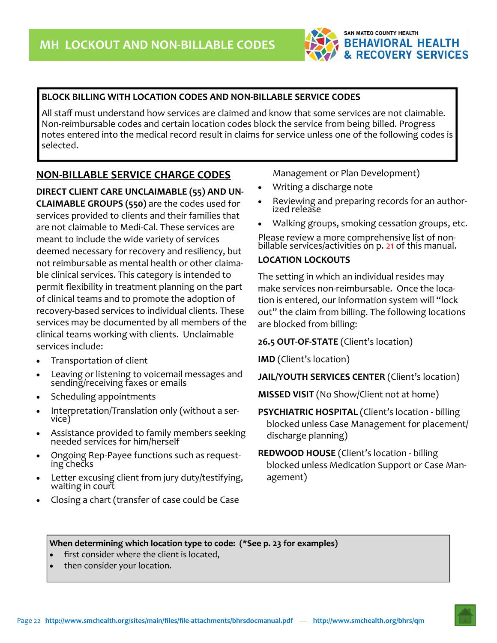

#### **BLOCK BILLING WITH LOCATION CODES AND NON‐BILLABLE SERVICE CODES**

All staff must understand how services are claimed and know that some services are not claimable. Non-reimbursable codes and certain location codes block the service from being billed. Progress notes entered into the medical record result in claims for service unless one of the following codes is selected.

#### **NON‐BILLABLE SERVICE CHARGE CODES**

**DIRECT CLIENT CARE UNCLAIMABLE (55) AND UN‐ CLAIMABLE GROUPS (550)** are the codes used for services provided to clients and their families that are not claimable to Medi‐Cal. These services are meant to include the wide variety of services deemed necessary for recovery and resiliency, but not reimbursable as mental health or other claima‐ ble clinical services. This category is intended to permit flexibility in treatment planning on the part of clinical teams and to promote the adoption of recovery‐based services to individual clients. These services may be documented by all members of the clinical teams working with clients. Unclaimable services include:

- Transportation of client
- Leaving or listening to voicemail messages and sending/receiving faxes or emails
- Scheduling appointments
- Interpretation/Translation only (without a ser-<br>vice)
- Assistance provided to family members seeking needed services for him/herself
- Ongoing Rep‐Payee functions such as request‐ ing checks
- Letter excusing client from jury duty/testifying, waiting in court
- Closing a chart (transfer of case could be Case

Management or Plan Development)

- Writing a discharge note
- Reviewing and preparing records for an author‐ ized release
- Walking groups, smoking cessation groups, etc.

Please review a more comprehensive list of non-<br>billable services/activities on p. 21 of this manual.

#### **LOCATION LOCKOUTS**

The setting in which an individual resides may make services non-reimbursable. Once the location is entered, our information system will "lock out" the claim from billing. The following locations are blocked from billing:

#### **26.5 OUT‐OF‐STATE** (Client's location)

**IMD** (Client's location)

**JAIL/YOUTH SERVICES CENTER** (Client's location)

**MISSED VISIT** (No Show/Client not at home)

- **PSYCHIATRIC HOSPITAL** (Client's location ‐ billing blocked unless Case Management for placement/ discharge planning)
- **REDWOOD HOUSE** (Client's location ‐ billing blocked unless Medication Support or Case Man‐ agement)

**When determining which location type to code: (\*See p. 23 for examples)** 

- first consider where the client is located,
- then consider your location.

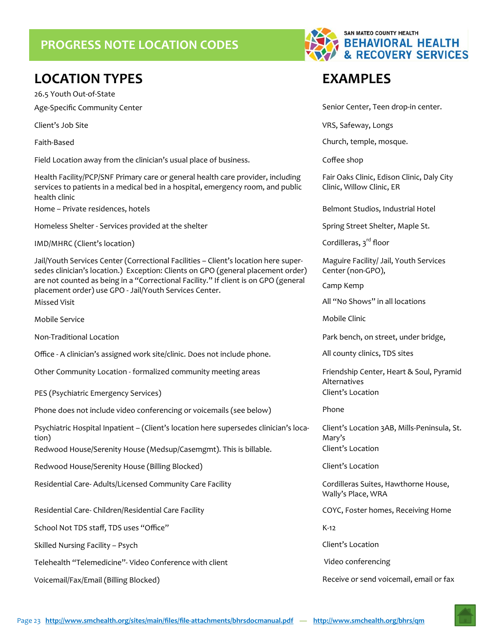## **PROGRESS NOTE LOCATION CODES**

## **LOCATION TYPES EXAMPLES**

26.5 Youth Out‐of‐State

Field Location away from the clinician's usual place of business. 
Soffee shop

Health Facility/PCP/SNF Primary care or general health care provider, including services to patients in a medical bed in a hospital, emergency room, and public health clinic

Home – Private residences, hotels **Belmont Studios**, Industrial Hotel

Homeless Shelter - Services provided at the shelter Shelter Spring Street Shelter, Maple St.

 $IMD/MHRC$  (Client's location) Cordilleras,  $3<sup>rd</sup>$  floor

Jail/Youth Services Center (Correctional Facilities – Client's location here super‐ sedes clinician's location.) Exception: Clients on GPO (general placement order) are not counted as being in a "Correctional Facility." If client is on GPO (general placement order) use GPO ‐ Jail/Youth Services Center. Missed Visit All "No Shows" in all locations and the Missed Visit All "No Shows" in all locations

Mobile Service Mobile Clinic

Office - A clinician's assigned work site/clinic. Does not include phone. All county clinics, TDS sites

Other Community Location - formalized community meeting areas *Friendship Center, Heart & Soul, Pyramid* 

PES (Psychiatric Emergency Services) and the control of the Client's Location

Phone does not include video conferencing or voicemails (see below) Phone

Psychiatric Hospital Inpatient – (Client's location here supersedes clinician's loca‐ tion) Redwood House/Serenity House (Medsup/Casemgmt). This is billable. Client's Location

Redwood House/Serenity House (Billing Blocked) Manual Client's Location

Residential Care-Adults/Licensed Community Care Facility Cornell Contilleras Suites, Hawthorne House,

Residential Care- Children/Residential Care Facility COYC, Foster homes, Receiving Home

School Not TDS staff, TDS uses "Office" K‐12

Skilled Nursing Facility – Psych Client's Location

Telehealth "Telemedicine"- Video Conference with client Video Conferencing Video conferencing



Age‐Specific Community Center Senior Center Senior Center, Teen drop‐in center.

Client's Job Site VRS, Safeway, Longs

Faith‐Based Church, temple, mosque.

Fair Oaks Clinic, Edison Clinic, Daly City Clinic, Willow Clinic, ER

Maguire Facility/ Jail, Youth Services Center (non‐GPO),

Camp Kemp

Non‐Traditional Location Park bench, on street, under bridge,

Alternatives

Client's Location 3AB, Mills‐Peninsula, St. Mary's

Wally's Place, WRA

Voicemail/Fax/Email (Billing Blocked) Receive or send voicemail, email or fax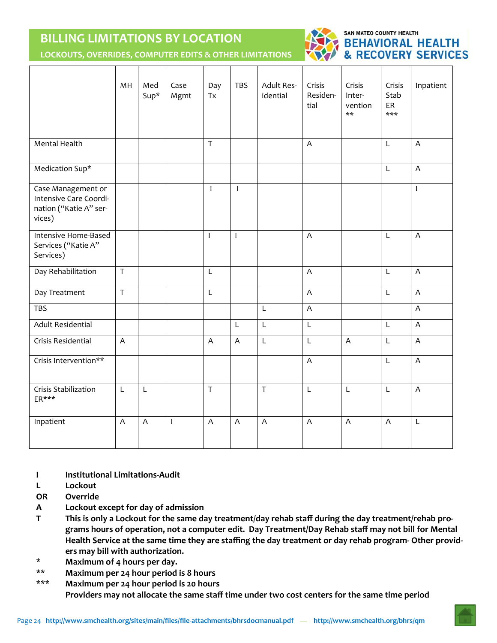## **BILLING LIMITATIONS BY LOCATION**



#### SAN MATEO COUNTY HEALTH **BEHAVIORAL HEALTH & RECOVERY SERVICES**

**LOCKOUTS, OVERRIDES, COMPUTER EDITS & OTHER LIMITATIONS** 

|                                                                                  | MH             | Med<br>$Sup*$  | Case<br>Mgmt | Day<br>Tx                 | <b>TBS</b>     | Adult Res-<br>idential | Crisis<br>Residen-<br>tial | Crisis<br>Inter-<br>vention<br>$***$ | Crisis<br>Stab<br>ER<br>$***$ | Inpatient                 |
|----------------------------------------------------------------------------------|----------------|----------------|--------------|---------------------------|----------------|------------------------|----------------------------|--------------------------------------|-------------------------------|---------------------------|
| <b>Mental Health</b>                                                             |                |                |              | $\overline{T}$            |                |                        | $\overline{A}$             |                                      | L                             | $\overline{A}$            |
| Medication Sup*                                                                  |                |                |              |                           |                |                        |                            |                                      | L                             | $\mathsf A$               |
| Case Management or<br>Intensive Care Coordi-<br>nation ("Katie A" ser-<br>vices) |                |                |              | $\mathbf{I}$              | $\mathbf{I}$   |                        |                            |                                      |                               | $\mathsf I$               |
| Intensive Home-Based<br>Services ("Katie A"<br>Services)                         |                |                |              | $\mathbf{I}$              | $\mathbf{I}$   |                        | $\overline{A}$             |                                      | L                             | $\boldsymbol{\mathsf{A}}$ |
| Day Rehabilitation                                                               | $\sf T$        |                |              | $\mathsf L$               |                |                        | $\boldsymbol{\mathsf{A}}$  |                                      | L                             | $\boldsymbol{\mathsf{A}}$ |
| Day Treatment                                                                    | $\mathsf T$    |                |              | L                         |                |                        | $\overline{A}$             |                                      | L                             | $\boldsymbol{\mathsf{A}}$ |
| <b>TBS</b>                                                                       |                |                |              |                           |                | L                      | $\overline{A}$             |                                      |                               | $\boldsymbol{\mathsf{A}}$ |
| <b>Adult Residential</b>                                                         |                |                |              |                           | L              | L                      | $\mathsf L$                |                                      | L                             | A                         |
| Crisis Residential                                                               | $\overline{A}$ |                |              | $\boldsymbol{\mathsf{A}}$ | $\overline{A}$ | L                      | $\mathsf L$                | A                                    | L                             | A                         |
| Crisis Intervention**                                                            |                |                |              |                           |                |                        | $\overline{A}$             |                                      | L                             | $\boldsymbol{\mathsf{A}}$ |
| Crisis Stabilization<br>ER***                                                    | L              | $\mathsf L$    |              | $\overline{\mathsf{T}}$   |                | $\overline{T}$         | $\mathsf L$                | L                                    | L                             | $\overline{A}$            |
| Inpatient                                                                        | $\overline{A}$ | $\overline{A}$ | T            | $\overline{A}$            | $\overline{A}$ | $\overline{A}$         | $\overline{A}$             | $\overline{\mathsf{A}}$              | $\overline{A}$                | L                         |

- **I Institutional Limitations‐Audit**
- **L Lockout**
- **OR Override**
- **A Lockout except for day of admission**
- **T This is only a Lockout for the same day treatment/day rehab staff during the day treatment/rehab pro‐ grams hours of operation, not a computer edit. Day Treatment/Day Rehab staff may not bill for Mental Health Service at the same time they are staffing the day treatment or day rehab program‐ Other provid‐ ers may bill with authorization.**
- **\* Maximum of 4 hours per day.**
- **\*\* Maximum per 24 hour period is 8 hours**

**\*\*\* Maximum per 24 hour period is 20 hours Providers may not allocate the same staff time under two cost centers for the same time period**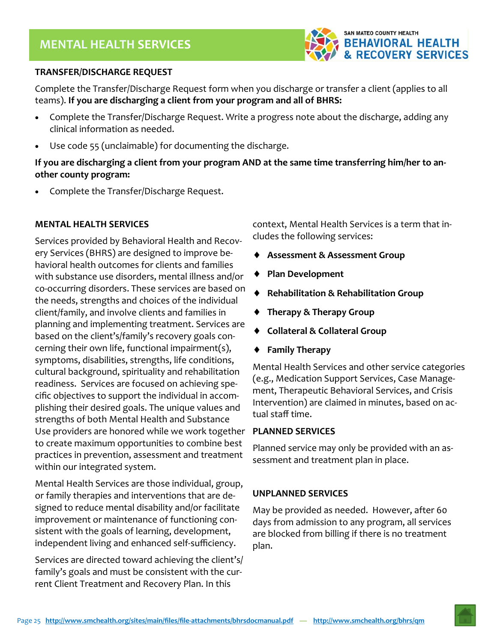

#### **TRANSFER/DISCHARGE REQUEST**

*manual*  Complete the Transfer/Discharge Request form when you discharge or transfer a client (applies to all teams). **If you are discharging a client from your program and all of BHRS:** 

- Complete the Transfer/Discharge Request. Write a progress note about the discharge, adding any clinical information as needed.
- Use code 55 (unclaimable) for documenting the discharge.

**If you are discharging a client from your program AND at the same time transferring him/her to an‐ other county program:** 

Complete the Transfer/Discharge Request.

#### **MENTAL HEALTH SERVICES**

Services provided by Behavioral Health and Recov‐ ery Services (BHRS) are designed to improve be‐ havioral health outcomes for clients and families with substance use disorders, mental illness and/or co‐occurring disorders. These services are based on the needs, strengths and choices of the individual client/family, and involve clients and families in planning and implementing treatment. Services are based on the client's/family's recovery goals con‐ cerning their own life, functional impairment(s), symptoms, disabilities, strengths, life conditions, cultural background, spirituality and rehabilitation readiness. Services are focused on achieving spe‐ cific objectives to support the individual in accom‐ plishing their desired goals. The unique values and strengths of both Mental Health and Substance Use providers are honored while we work together to create maximum opportunities to combine best practices in prevention, assessment and treatment within our integrated system.

Mental Health Services are those individual, group, or family therapies and interventions that are de‐ signed to reduce mental disability and/or facilitate improvement or maintenance of functioning con‐ sistent with the goals of learning, development, independent living and enhanced self‐sufficiency.

Services are directed toward achieving the client's/ family's goals and must be consistent with the cur‐ rent Client Treatment and Recovery Plan. In this

context, Mental Health Services is a term that in‐ cludes the following services:

- **Assessment & Assessment Group**
- **Plan Development**
- **Rehabilitation & Rehabilitation Group**
- **Therapy & Therapy Group**
- **Collateral & Collateral Group**
- **Family Therapy**

Mental Health Services and other service categories (e.g., Medication Support Services, Case Manage‐ ment, Therapeutic Behavioral Services, and Crisis Intervention) are claimed in minutes, based on ac‐ tual staff time.

#### **PLANNED SERVICES**

Planned service may only be provided with an as‐ sessment and treatment plan in place.

#### **UNPLANNED SERVICES**

May be provided as needed. However, after 60 days from admission to any program, all services are blocked from billing if there is no treatment plan.

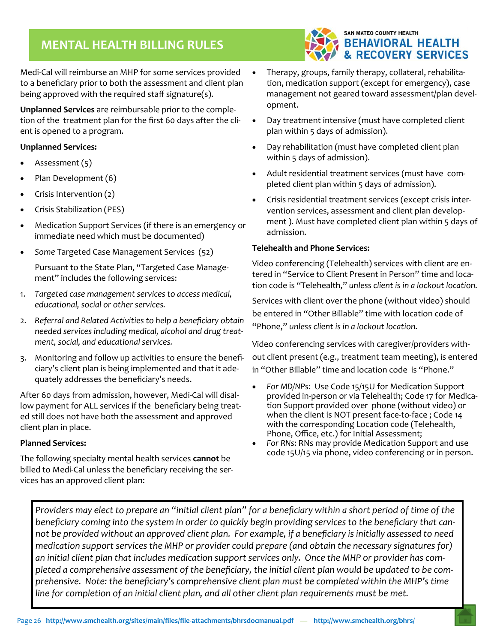## **MENTAL HEALTH BILLING RULES**



Medi‐Cal will reimburse an MHP for some services provided to a beneficiary prior to both the assessment and client plan being approved with the required staff signature(s).

**Unplanned Services** are reimbursable prior to the comple‐ tion of the treatment plan for the first 60 days after the cli‐ ent is opened to a program.

#### **Unplanned Services:**

- Assessment (5)
- Plan Development (6)
- Crisis Intervention (2)
- Crisis Stabilization (PES)
- Medication Support Services (if there is an emergency or immediate need which must be documented)
- *Some* Targeted Case Management Services (52)

Pursuant to the State Plan, "Targeted Case Manage‐ ment" includes the following services:

- 1. *Targeted case management services to access medical, educational, social or other services.*
- 2. *Referral and Related Activities to help a beneficiary obtain needed services including medical, alcohol and drug treat‐ ment, social, and educational services.*
- 3. Monitoring and follow up activities to ensure the benefi‐ ciary's client plan is being implemented and that it ade‐ quately addresses the beneficiary's needs.

After 60 days from admission, however, Medi‐Cal will disal‐ low payment for ALL services if the beneficiary being treat‐ ed still does not have both the assessment and approved client plan in place.

#### **Planned Services:**

The following specialty mental health services **cannot** be billed to Medi‐Cal unless the beneficiary receiving the ser‐ vices has an approved client plan:

- Therapy, groups, family therapy, collateral, rehabilita‐ tion, medication support (except for emergency), case management not geared toward assessment/plan devel‐ opment.
- Day treatment intensive (must have completed client plan within 5 days of admission).
- Day rehabilitation (must have completed client plan within 5 days of admission).
- Adult residential treatment services (must have com‐ pleted client plan within 5 days of admission).
- Crisis residential treatment services (except crisis inter‐ vention services, assessment and client plan develop‐ ment ). Must have completed client plan within 5 days of admission.

#### **Telehealth and Phone Services:**

Video conferencing (Telehealth) services with client are en‐ tered in "Service to Client Present in Person" time and loca‐ tion code is "Telehealth," *unless client is in a lockout location.*

Services with client over the phone (without video) should be entered in "Other Billable" time with location code of "Phone," *unless client is in a lockout location.* 

Video conferencing services with caregiver/providers with‐ out client present (e.g., treatment team meeting), is entered in "Other Billable" time and location code is "Phone."

- *For MD/NPs*: Use Code 15/15U for Medication Support provided in‐person or via Telehealth; Code 17 for Medica‐ tion Support provided over phone (without video) or when the client is NOT present face-to-face; Code 14 with the corresponding Location code (Telehealth, Phone, Office, etc.) for Initial Assessment;
- *For RNs*: RNs may provide Medication Support and use code 15U/15 via phone, video conferencing or in person.

*Providers may elect to prepare an "initial client plan" for a beneficiary within a short period of time of the beneficiary coming into the system in order to quickly begin providing services to the beneficiary that can‐ not be provided without an approved client plan. For example, if a beneficiary is initially assessed to need medication support services the MHP or provider could prepare (and obtain the necessary signatures for) an initial client plan that includes medication support services only. Once the MHP or provider has com‐ pleted a comprehensive assessment of the beneficiary, the initial client plan would be updated to be com‐ prehensive. Note: the beneficiary's comprehensive client plan must be completed within the MHP's time line for completion of an initial client plan, and all other client plan requirements must be met.*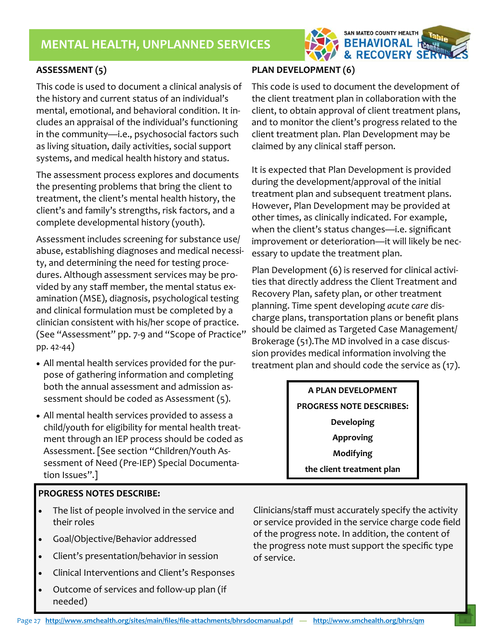

#### **ASSESSMENT (5)**

This code is used to document a clinical analysis of the history and current status of an individual's mental, emotional, and behavioral condition. It in‐ cludes an appraisal of the individual's functioning in the community—i.e., psychosocial factors such as living situation, daily activities, social support systems, and medical health history and status.

The assessment process explores and documents the presenting problems that bring the client to treatment, the client's mental health history, the client's and family's strengths, risk factors, and a complete developmental history (youth).

Assessment includes screening for substance use/ abuse, establishing diagnoses and medical necessi‐ ty, and determining the need for testing proce‐ dures. Although assessment services may be pro‐ vided by any staff member, the mental status ex‐ amination (MSE), diagnosis, psychological testing and clinical formulation must be completed by a clinician consistent with his/her scope of practice. (See "Assessment" pp. 7‐9 and "Scope of Practice" pp. 42‐44)

- All mental health services provided for the pur‐ pose of gathering information and completing both the annual assessment and admission as‐ sessment should be coded as Assessment (5).
- All mental health services provided to assess a child/youth for eligibility for mental health treat‐ ment through an IEP process should be coded as Assessment. [See section "Children/Youth As‐ sessment of Need (Pre‐IEP) Special Documenta‐ tion Issues".]

#### **PROGRESS NOTES DESCRIBE:**

- The list of people involved in the service and their roles
- Goal/Objective/Behavior addressed
- Client's presentation/behavior in session
- Clinical Interventions and Client's Responses
- Outcome of services and follow‐up plan (if needed)

#### **PLAN DEVELOPMENT (6)**

This code is used to document the development of the client treatment plan in collaboration with the client, to obtain approval of client treatment plans, and to monitor the client's progress related to the client treatment plan. Plan Development may be claimed by any clinical staff person.

It is expected that Plan Development is provided during the development/approval of the initial treatment plan and subsequent treatment plans. However, Plan Development may be provided at other times, as clinically indicated. For example, when the client's status changes—i.e. significant improvement or deterioration—it will likely be nec‐ essary to update the treatment plan.

Plan Development (6) is reserved for clinical activi‐ ties that directly address the Client Treatment and Recovery Plan, safety plan, or other treatment planning. Time spent developing *acute care* dis‐ charge plans, transportation plans or benefit plans should be claimed as Targeted Case Management/ Brokerage (51).The MD involved in a case discus‐ sion provides medical information involving the treatment plan and should code the service as (17).

> **A PLAN DEVELOPMENT PROGRESS NOTE DESCRIBES: Developing Approving Modifying the client treatment plan**

Clinicians/staff must accurately specify the activity or service provided in the service charge code field of the progress note. In addition, the content of the progress note must support the specific type of service.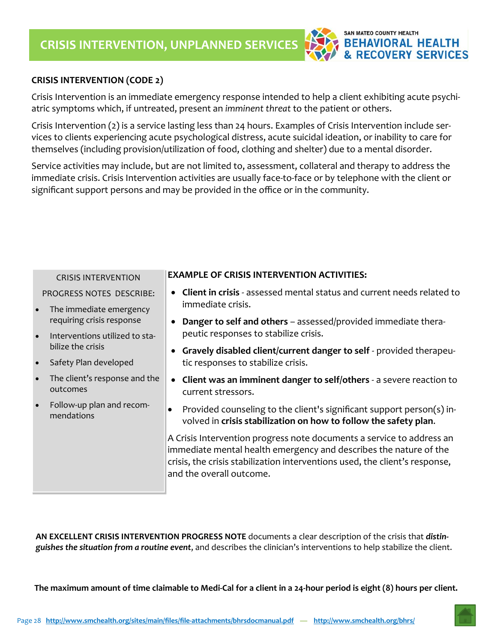

#### **CRISIS INTERVENTION (CODE 2)**

Crisis Intervention is an immediate emergency response intended to help a client exhibiting acute psychi‐ atric symptoms which, if untreated, present an *imminent threat* to the patient or others.

Crisis Intervention (2) is a service lasting less than 24 hours. Examples of Crisis Intervention include ser‐ vices to clients experiencing acute psychological distress, acute suicidal ideation, or inability to care for themselves (including provision/utilization of food, clothing and shelter) due to a mental disorder.

Service activities may include, but are not limited to, assessment, collateral and therapy to address the immediate crisis. Crisis Intervention activities are usually face‐to‐face or by telephone with the client or significant support persons and may be provided in the office or in the community.

| <b>CRISIS INTERVENTION</b>                             | <b>EXAMPLE OF CRISIS INTERVENTION ACTIVITIES:</b>                                                                                                                                                                                                     |  |  |  |  |  |
|--------------------------------------------------------|-------------------------------------------------------------------------------------------------------------------------------------------------------------------------------------------------------------------------------------------------------|--|--|--|--|--|
| PROGRESS NOTES DESCRIBE:                               | Client in crisis - assessed mental status and current needs related to                                                                                                                                                                                |  |  |  |  |  |
| The immediate emergency<br>$\bullet$                   | immediate crisis.                                                                                                                                                                                                                                     |  |  |  |  |  |
| requiring crisis response                              | <b>Danger to self and others</b> – assessed/provided immediate thera-                                                                                                                                                                                 |  |  |  |  |  |
| $\bullet$<br>Interventions utilized to sta-            | peutic responses to stabilize crisis.                                                                                                                                                                                                                 |  |  |  |  |  |
| bilize the crisis                                      | Gravely disabled client/current danger to self - provided therapeu-                                                                                                                                                                                   |  |  |  |  |  |
| Safety Plan developed<br>$\bullet$                     | tic responses to stabilize crisis.                                                                                                                                                                                                                    |  |  |  |  |  |
| The client's response and the<br>$\bullet$<br>outcomes | Client was an imminent danger to self/others - a severe reaction to<br>current stressors.                                                                                                                                                             |  |  |  |  |  |
| Follow-up plan and recom-<br>$\bullet$<br>mendations   | Provided counseling to the client's significant support person(s) in-<br>$\bullet$<br>volved in crisis stabilization on how to follow the safety plan.                                                                                                |  |  |  |  |  |
|                                                        | A Crisis Intervention progress note documents a service to address an<br>immediate mental health emergency and describes the nature of the<br>crisis, the crisis stabilization interventions used, the client's response,<br>and the overall outcome. |  |  |  |  |  |

**AN EXCELLENT CRISIS INTERVENTION PROGRESS NOTE** documents a clear description of the crisis that *distin‐ guishes the situation from a routine event*, and describes the clinician's interventions to help stabilize the client.

**The maximum amount of time claimable to Medi‐Cal for a client in a 24‐hour period is eight (8) hours per client.**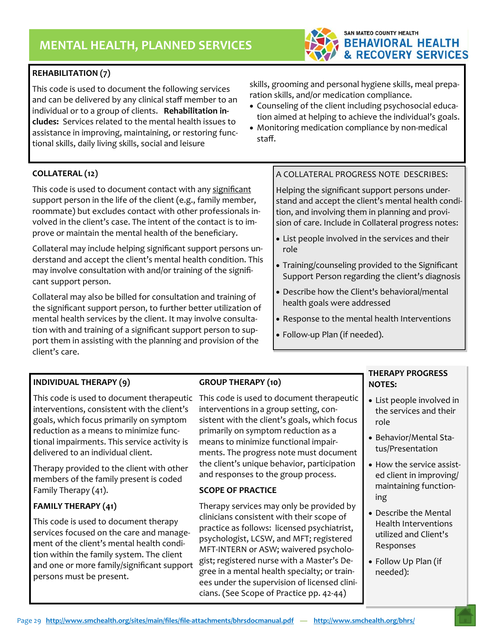#### **REHABILITATION (7)**

*manual*  This code is used to document the following services and can be delivered by any clinical staff member to an individual or to a group of clients. **Rehabilitation in‐ cludes:** Services related to the mental health issues to assistance in improving, maintaining, or restoring func‐ tional skills, daily living skills, social and leisure

skills, grooming and personal hygiene skills, meal prepa‐ ration skills, and/or medication compliance.

SAN MATEO COUNTY HEALTH

**BEHAVIORAL HEALTH & RECOVERY SERVICES** 

- Counseling of the client including psychosocial education aimed at helping to achieve the individual's goals.
- Monitoring medication compliance by non-medical staff.

#### **COLLATERAL (12)**

This code is used to document contact with any significant support person in the life of the client (e.g., family member, roommate) but excludes contact with other professionals in‐ volved in the client's case. The intent of the contact is to im‐ prove or maintain the mental health of the beneficiary.

Collateral may include helping significant support persons un‐ derstand and accept the client's mental health condition. This may involve consultation with and/or training of the significant support person.

Collateral may also be billed for consultation and training of the significant support person, to further better utilization of mental health services by the client. It may involve consultation with and training of a significant support person to sup‐ port them in assisting with the planning and provision of the client's care.

#### **INDIVIDUAL THERAPY (9)**

This code is used to document therapeutic This code is used to document therapeutic interventions, consistent with the client's goals, which focus primarily on symptom reduction as a means to minimize func‐ tional impairments. This service activity is delivered to an individual client.

Therapy provided to the client with other members of the family present is coded Family Therapy (41).

#### **FAMILY THERAPY (41)**

This code is used to document therapy services focused on the care and manage‐ ment of the client's mental health condi‐ tion within the family system. The client and one or more family/significant support persons must be present.

#### **GROUP THERAPY (10)**

interventions in a group setting, con‐ sistent with the client's goals, which focus primarily on symptom reduction as a means to minimize functional impair‐ ments. The progress note must document the client's unique behavior, participation and responses to the group process.

#### **SCOPE OF PRACTICE**

Therapy services may only be provided by clinicians consistent with their scope of practice as follows: licensed psychiatrist, psychologist, LCSW, and MFT; registered MFT‐INTERN or ASW; waivered psycholo‐ gist; registered nurse with a Master's De‐ gree in a mental health specialty; or train‐ ees under the supervision of licensed clini‐ cians. (See Scope of Practice pp. 42‐44)

#### A COLLATERAL PROGRESS NOTE DESCRIBES:

Helping the significant support persons under‐ stand and accept the client's mental health condi‐ tion, and involving them in planning and provi‐ sion of care. Include in Collateral progress notes:

- List people involved in the services and their role
- Training/counseling provided to the Significant Support Person regarding the client's diagnosis
- Describe how the Client's behavioral/mental health goals were addressed
- Response to the mental health Interventions
- Follow‐up Plan (if needed).

#### **THERAPY PROGRESS NOTES:**

- List people involved in the services and their role
- Behavior/Mental Sta‐ tus/Presentation
- How the service assisted client in improving/ maintaining function‐ ing
- Describe the Mental Health Interventions utilized and Client's Responses
- Follow Up Plan (if needed):

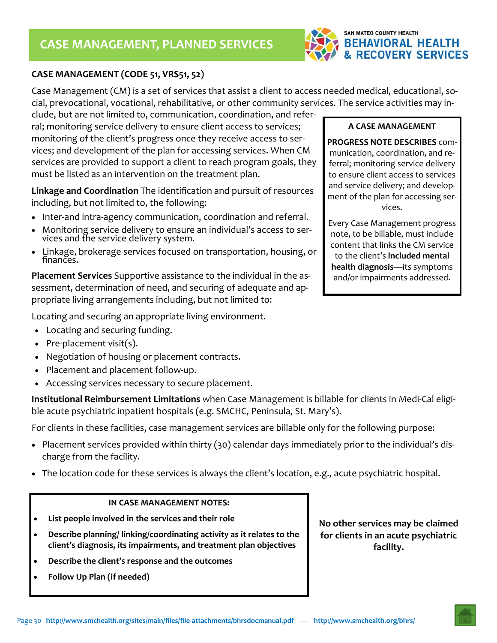

#### **CASE MANAGEMENT (CODE 51, VRS51, 52)**

*manual*  Case Management (CM) is a set of services that assist a client to access needed medical, educational, so‐ cial, prevocational, vocational, rehabilitative, or other community services. The service activities may in‐

clude, but are not limited to, communication, coordination, and refer‐ ral; monitoring service delivery to ensure client access to services; monitoring of the client's progress once they receive access to ser‐ vices; and development of the plan for accessing services. When CM services are provided to support a client to reach program goals, they must be listed as an intervention on the treatment plan.

**Linkage and Coordination** The identification and pursuit of resources including, but not limited to, the following:

- Inter-and intra-agency communication, coordination and referral.
- Monitoring service delivery to ensure an individual's access to services and the service delivery system.
- Linkage, brokerage services focused on transportation, housing, or finances.

**Placement Services** Supportive assistance to the individual in the as‐ sessment, determination of need, and securing of adequate and ap‐ propriate living arrangements including, but not limited to:

Locating and securing an appropriate living environment.

- Locating and securing funding.
- Pre-placement visit(s).
- Negotiation of housing or placement contracts.
- Placement and placement follow‐up.
- Accessing services necessary to secure placement.

**Institutional Reimbursement Limitations** when Case Management is billable for clients in Medi‐Cal eligi‐ ble acute psychiatric inpatient hospitals (e.g. SMCHC, Peninsula, St. Mary's).

For clients in these facilities, case management services are billable only for the following purpose:

- Placement services provided within thirty (30) calendar days immediately prior to the individual's discharge from the facility.
- The location code for these services is always the client's location, e.g., acute psychiatric hospital.

#### **IN CASE MANAGEMENT NOTES:**

- **List people involved in the services and their role**
- **Describe planning/ linking/coordinating activity as it relates to the client's diagnosis, its impairments, and treatment plan objectives**
- **Describe the client's response and the outcomes**
- **Follow Up Plan (if needed)**

**No other services may be claimed for clients in an acute psychiatric facility.** 

**A CASE MANAGEMENT** 

**PROGRESS NOTE DESCRIBES** com‐ munication, coordination, and re‐ ferral; monitoring service delivery to ensure client access to services and service delivery; and develop‐ ment of the plan for accessing ser‐ vices.

Every Case Management progress note, to be billable, must include content that links the CM service to the client's **included mental health diagnosis**—its symptoms and/or impairments addressed.

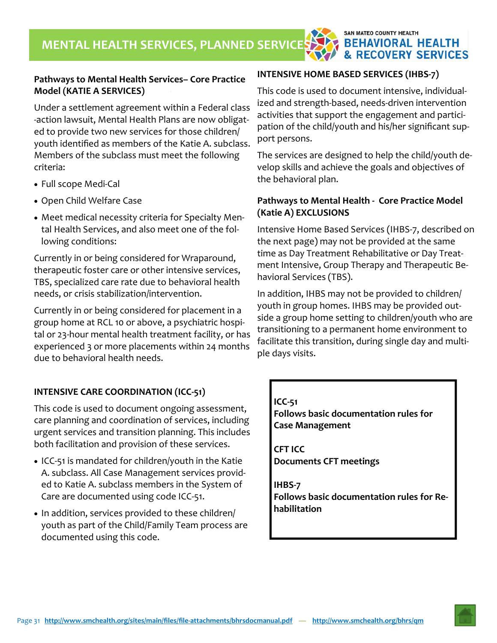#### **Pathways to Mental Health Services– Core Practice Model (KATIE A SERVICES)**

Under a settlement agreement within a Federal class ‐action lawsuit, Mental Health Plans are now obligat‐ ed to provide two new services for those children/ youth identified as members of the Katie A. subclass. Members of the subclass must meet the following criteria:

- Full scope Medi-Cal
- Open Child Welfare Case
- Meet medical necessity criteria for Specialty Men‐ tal Health Services, and also meet one of the fol‐ lowing conditions:

Currently in or being considered for Wraparound, therapeutic foster care or other intensive services, TBS, specialized care rate due to behavioral health needs, or crisis stabilization/intervention.

Currently in or being considered for placement in a group home at RCL 10 or above, a psychiatric hospi‐ tal or 23‐hour mental health treatment facility, or has experienced 3 or more placements within 24 months due to behavioral health needs.

#### **INTENSIVE CARE COORDINATION (ICC‐51)**

This code is used to document ongoing assessment, care planning and coordination of services, including urgent services and transition planning. This includes both facilitation and provision of these services.

- ICC-51 is mandated for children/youth in the Katie A. subclass. All Case Management services provid‐ ed to Katie A. subclass members in the System of Care are documented using code ICC‐51.
- In addition, services provided to these children/ youth as part of the Child/Family Team process are documented using this code.

## **INTENSIVE HOME BASED SERVICES (IHBS‐7)**

This code is used to document intensive, individual‐ ized and strength‐based, needs‐driven intervention activities that support the engagement and partici‐ pation of the child/youth and his/her significant sup‐ port persons.

**SAN MATEO COUNTY HEALTH** 

**BEHAVIORAL HEALTH & RECOVERY SERVICES** 

The services are designed to help the child/youth de‐ velop skills and achieve the goals and objectives of the behavioral plan.

#### **Pathways to Mental Health ‐ Core Practice Model (Katie A) EXCLUSIONS**

Intensive Home Based Services (IHBS‐7, described on the next page) may not be provided at the same time as Day Treatment Rehabilitative or Day Treat‐ ment Intensive, Group Therapy and Therapeutic Be‐ havioral Services (TBS).

In addition, IHBS may not be provided to children/ youth in group homes. IHBS may be provided out‐ side a group home setting to children/youth who are transitioning to a permanent home environment to facilitate this transition, during single day and multi‐ ple days visits.

#### **ICC‐51**

**Follows basic documentation rules for Case Management** 

**CFT ICC Documents CFT meetings** 

**IHBS‐7 Follows basic documentation rules for Re‐ habilitation**

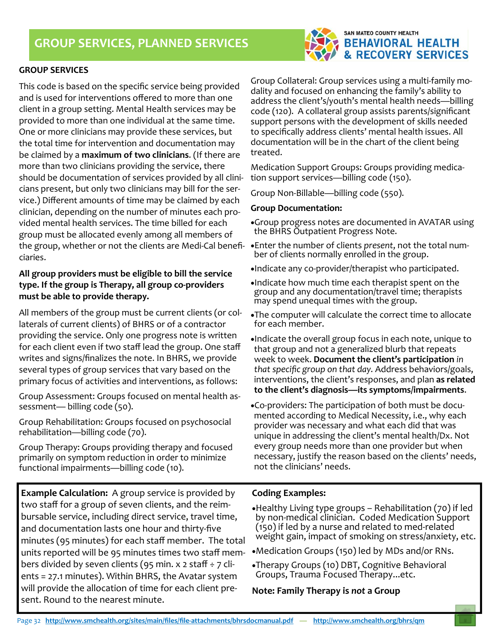

This code is based on the specific service being provided and is used for interventions offered to more than one client in a group setting. Mental Health services may be provided to more than one individual at the same time. One or more clinicians may provide these services, but the total time for intervention and documentation may be claimed by a **maximum of two clinicians**. (If there are more than two clinicians providing the service, there should be documentation of services provided by all clini‐ cians present, but only two clinicians may bill for the ser‐ vice.) Different amounts of time may be claimed by each clinician, depending on the number of minutes each pro‐ vided mental health services. The time billed for each group must be allocated evenly among all members of the group, whether or not the clients are Medi‐Cal benefi‐ ciaries.

#### **All group providers must be eligible to bill the service type. If the group is Therapy, all group co‐providers must be able to provide therapy.**

All members of the group must be current clients (or col‐ laterals of current clients) of BHRS or of a contractor providing the service. Only one progress note is written for each client even if two staff lead the group. One staff writes and signs/finalizes the note. In BHRS, we provide several types of group services that vary based on the primary focus of activities and interventions, as follows:

Group Assessment: Groups focused on mental health as‐ sessment— billing code (50).

Group Rehabilitation: Groups focused on psychosocial rehabilitation—billing code (70).

Group Therapy: Groups providing therapy and focused primarily on symptom reduction in order to minimize functional impairments—billing code (10).

**Example Calculation:** A group service is provided by two staff for a group of seven clients, and the reim‐ bursable service, including direct service, travel time, and documentation lasts one hour and thirty‐five minutes (95 minutes) for each staff member. The total units reported will be 95 minutes times two staff mem‐ bers divided by seven clients (95 min. x 2 staff  $\div$  7 clients = 27.1 minutes). Within BHRS, the Avatar system will provide the allocation of time for each client pre‐ sent. Round to the nearest minute.

Group Collateral: Group services using a multi‐family mo‐ dality and focused on enhancing the family's ability to address the client's/youth's mental health needs—billing code (120). A collateral group assists parents/significant support persons with the development of skills needed to specifically address clients' mental health issues. All documentation will be in the chart of the client being treated.

Medication Support Groups: Groups providing medica‐ tion support services—billing code (150).

Group Non‐Billable—billing code (550).

#### **Group Documentation:**

- Group progress notes are documented in AVATAR using the BHRS Outpatient Progress Note.
- Enter the number of clients *present*, not the total num‐ ber of clients normally enrolled in the group.
- •Indicate any co-provider/therapist who participated.
- Indicate how much time each therapist spent on the group and any documentation/travel time; therapists may spend unequal times with the group.
- The computer will calculate the correct time to allocate for each member.
- Indicate the overall group focus in each note, unique to that group and not a generalized blurb that repeats week to week. **Document the client's participation** *in that specific group on that day.* Address behaviors/goals, interventions, the client's responses, and plan **as related to the client's diagnosis—its symptoms/impairments**.
- Co‐providers: The participation of both must be docu‐ mented according to Medical Necessity, i.e., why each provider was necessary and what each did that was unique in addressing the client's mental health/Dx. Not every group needs more than one provider but when necessary, justify the reason based on the clients' needs, not the clinicians' needs.

#### **Coding Examples:**

Healthy Living type groups – Rehabilitation (70) if led by non‐medical clinician. Coded Medication Support (150) if led by a nurse and related to med‐related weight gain, impact of smoking on stress/anxiety, etc.

Medication Groups (150) led by MDs and/or RNs.

Therapy Groups (10) DBT, Cognitive Behavioral Groups, Trauma Focused Therapy...etc.

#### **Note: Family Therapy is** *not* **a Group**



#### SAN MATEO COUNTY HEALTH **BEHAVIORAL HEALTH & RECOVERY SERVICES**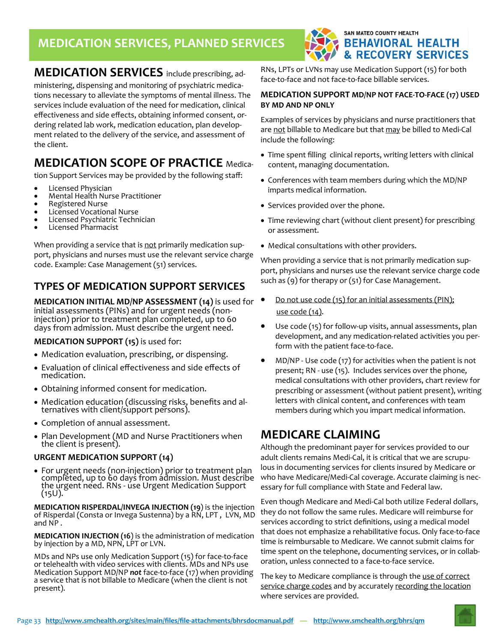## **MEDICATION SERVICES, PLANNED SERVICES**



## **MEDICATION SERVICES** include prescribing, ad‐

ministering, dispensing and monitoring of psychiatric medica‐ tions necessary to alleviate the symptoms of mental illness. The services include evaluation of the need for medication, clinical effectiveness and side effects, obtaining informed consent, or‐ dering related lab work, medication education, plan develop‐ ment related to the delivery of the service, and assessment of the client.

## **MEDICATION SCOPE OF PRACTICE Medica-**

tion Support Services may be provided by the following staff:

- Licensed Physician
- Mental Health Nurse Practitioner
- Registered Nurse
- Licensed Vocational Nurse
- Licensed Psychiatric Technician
- Licensed Pharmacist

When providing a service that is not primarily medication support, physicians and nurses must use the relevant service charge code. Example: Case Management (51) services.

## **TYPES OF MEDICATION SUPPORT SERVICES**

**MEDICATION INITIAL MD/NP ASSESSMENT (14)** is used for initial assessments (PINs) and for urgent needs (noninjection) prior to treatment plan completed, up to 60 days from admission. Must describe the urgent need.

#### **MEDICATION SUPPORT (15)** is used for:

- Medication evaluation, prescribing, or dispensing.
- Evaluation of clinical effectiveness and side effects of medication.
- Obtaining informed consent for medication.
- Medication education (discussing risks, benefits and al‐ ternatives with client/support persons).
- Completion of annual assessment.
- Plan Development (MD and Nurse Practitioners when the client is present).

#### **URGENT MEDICATION SUPPORT (14)**

 For urgent needs (non‐injection) prior to treatment plan completed, up to <sup>60</sup> days from admission. Must describe the urgent need. RNs ‐ use Urgent Medication Support (15U).

**MEDICATION RISPERDAL/INVEGA INJECTION (19**) is the injection of Risperdal (Consta or Invega Sustenna) by a RN, LPT, LVN, MD and NP .

**MEDICATION INJECTION (16**) is the administration of medication by injection by a MD, NPN, LPT or LVN.

MDs and NPs use only Medication Support (15) for face‐to‐face or telehealth with video services with clients. MDs and NPs use Medication Support MD/NP *not* face‐to‐face (17) when providing a service that is not billable to Medicare (when the client is not present).

RNs, LPTs or LVNs may use Medication Support (15) for both face-to-face and not face-to-face billable services.

#### **MEDICATION SUPPORT MD/NP NOT FACE‐TO‐FACE (17) USED BY MD AND NP ONLY**

Examples of services by physicians and nurse practitioners that are not billable to Medicare but that may be billed to Medi-Cal include the following:

- Time spent filling clinical reports, writing letters with clinical content, managing documentation.
- Conferences with team members during which the MD/NP imparts medical information.
- Services provided over the phone.
- Time reviewing chart (without client present) for prescribing or assessment.
- Medical consultations with other providers.

When providing a service that is not primarily medication support, physicians and nurses use the relevant service charge code such as (9) for therapy or (51) for Case Management.

- Do not use code (15) for an initial assessments (PIN); use code (14).
- Use code (15) for follow-up visits, annual assessments, plan development, and any medication‐related activities you per‐ form with the patient face-to-face.
- MD/NP ‐ Use code (17) for activities when the patient is not present; RN ‐ use (15). Includes services over the phone, medical consultations with other providers, chart review for prescribing or assessment (without patient present), writing letters with clinical content, and conferences with team members during which you impart medical information.

## **MEDICARE CLAIMING**

Although the predominant payer for services provided to our adult clients remains Medi-Cal, it is critical that we are scrupulous in documenting services for clients insured by Medicare or who have Medicare/Medi-Cal coverage. Accurate claiming is necessary for full compliance with State and Federal law.

Even though Medicare and Medi‐Cal both utilize Federal dollars, they do not follow the same rules. Medicare will reimburse for services according to strict definitions, using a medical model that does not emphasize a rehabilitative focus. Only face‐to‐face time is reimbursable to Medicare. We cannot submit claims for time spent on the telephone, documenting services, or in collaboration, unless connected to a face‐to‐face service.

The key to Medicare compliance is through the use of correct service charge codes and by accurately recording the location where services are provided.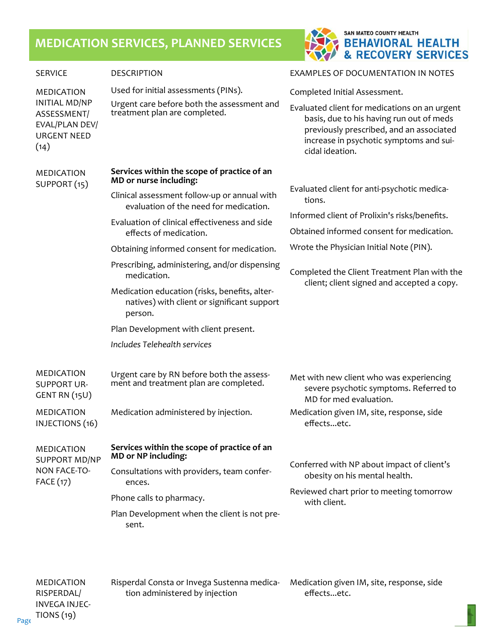## **MEDICATION SERVICES, PLANNED SERVICES**



| <b>SERVICE</b>                                                                      | <b>DESCRIPTION</b>                                                                                                      | EXAMPLES OF DOCUMENTATION IN NOTES                                                                                                                                                                  |  |  |  |  |
|-------------------------------------------------------------------------------------|-------------------------------------------------------------------------------------------------------------------------|-----------------------------------------------------------------------------------------------------------------------------------------------------------------------------------------------------|--|--|--|--|
| <b>MEDICATION</b>                                                                   | Used for initial assessments (PINs).                                                                                    | Completed Initial Assessment.                                                                                                                                                                       |  |  |  |  |
| <b>INITIAL MD/NP</b><br>ASSESSMENT/<br>EVAL/PLAN DEV/<br><b>URGENT NEED</b><br>(14) | Urgent care before both the assessment and<br>treatment plan are completed.                                             | Evaluated client for medications on an urgent<br>basis, due to his having run out of meds<br>previously prescribed, and an associated<br>increase in psychotic symptoms and sui-<br>cidal ideation. |  |  |  |  |
| <b>MEDICATION</b><br>SUPPORT (15)                                                   | Services within the scope of practice of an<br>MD or nurse including:                                                   |                                                                                                                                                                                                     |  |  |  |  |
|                                                                                     | Clinical assessment follow-up or annual with<br>evaluation of the need for medication.                                  | Evaluated client for anti-psychotic medica-<br>tions.                                                                                                                                               |  |  |  |  |
|                                                                                     | Evaluation of clinical effectiveness and side                                                                           | Informed client of Prolixin's risks/benefits.                                                                                                                                                       |  |  |  |  |
|                                                                                     | effects of medication.                                                                                                  | Obtained informed consent for medication.                                                                                                                                                           |  |  |  |  |
|                                                                                     | Obtaining informed consent for medication.                                                                              | Wrote the Physician Initial Note (PIN).                                                                                                                                                             |  |  |  |  |
|                                                                                     | Prescribing, administering, and/or dispensing<br>medication.                                                            | Completed the Client Treatment Plan with the                                                                                                                                                        |  |  |  |  |
|                                                                                     | Medication education (risks, benefits, alter-<br>natives) with client or significant support<br>person.                 | client; client signed and accepted a copy.                                                                                                                                                          |  |  |  |  |
|                                                                                     | Plan Development with client present.                                                                                   |                                                                                                                                                                                                     |  |  |  |  |
|                                                                                     | Includes Telehealth services                                                                                            |                                                                                                                                                                                                     |  |  |  |  |
| <b>MEDICATION</b><br><b>SUPPORT UR-</b><br>GENT RN (15U)                            | Urgent care by RN before both the assess-<br>ment and treatment plan are completed.                                     | Met with new client who was experiencing<br>severe psychotic symptoms. Referred to<br>MD for med evaluation.                                                                                        |  |  |  |  |
| <b>MEDICATION</b><br>INJECTIONS (16)                                                | Medication administered by injection.                                                                                   | Medication given IM, site, response, side<br>effectsetc.                                                                                                                                            |  |  |  |  |
| <b>MEDICATION</b><br><b>SUPPORT MD/NP</b><br><b>NON FACE-TO-</b><br>FACE (17)       | Services within the scope of practice of an<br><b>MD</b> or NP including:<br>Consultations with providers, team confer- | Conferred with NP about impact of client's<br>obesity on his mental health.                                                                                                                         |  |  |  |  |
|                                                                                     | ences.<br>Phone calls to pharmacy.                                                                                      | Reviewed chart prior to meeting tomorrow<br>with client.                                                                                                                                            |  |  |  |  |
|                                                                                     | Plan Development when the client is not pre-<br>sent.                                                                   |                                                                                                                                                                                                     |  |  |  |  |

Page 34 **http://www.smchealth.org/sites/main/files/file‐attachments/bhrsdocmanual.pdf** — **http://www.smchealth.org/bhrs/** MEDICATION RISPERDAL/ INVEGA INJEC‐ TIONS (19)

Risperdal Consta or Invega Sustenna medica‐ tion administered by injection

Medication given IM, site, response, side effects...etc.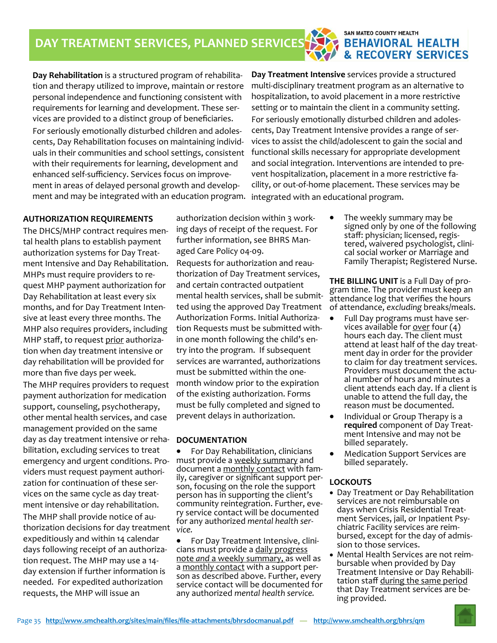#### **SAN MATEO COUNTY HEALTH BEHAVIORAL HEALTH** & RECOVERY SERVICES

**Day Rehabilitation** is a structured program of rehabilita‐ tion and therapy utilized to improve, maintain or restore personal independence and functioning consistent with requirements for learning and development. These ser‐ vices are provided to a distinct group of beneficiaries. For seriously emotionally disturbed children and adoles‐ cents, Day Rehabilitation focuses on maintaining individ‐ uals in their communities and school settings, consistent with their requirements for learning, development and enhanced self‐sufficiency. Services focus on improve‐ ment in areas of delayed personal growth and develop‐ ment and may be integrated with an education program.

**Day Treatment Intensive** services provide a structured multi‐disciplinary treatment program as an alternative to hospitalization, to avoid placement in a more restrictive setting or to maintain the client in a community setting. For seriously emotionally disturbed children and adoles‐ cents, Day Treatment Intensive provides a range of ser‐ vices to assist the child/adolescent to gain the social and functional skills necessary for appropriate development and social integration. Interventions are intended to pre‐ vent hospitalization, placement in a more restrictive fa‐ cility, or out‐of‐home placement. These services may be integrated with an educational program.

#### **AUTHORIZATION REQUIREMENTS**

The DHCS/MHP contract requires men‐ tal health plans to establish payment authorization systems for Day Treat‐ ment Intensive and Day Rehabilitation. MHPs must require providers to re‐ quest MHP payment authorization for Day Rehabilitation at least every six months, and for Day Treatment Inten‐ sive at least every three months. The MHP also requires providers, including MHP staff, to request prior authoriza‐ tion when day treatment intensive or day rehabilitation will be provided for more than five days per week.

The MHP requires providers to request payment authorization for medication support, counseling, psychotherapy, other mental health services, and case management provided on the same day as day treatment intensive or reha‐ bilitation, excluding services to treat emergency and urgent conditions. Pro‐ viders must request payment authori‐ zation for continuation of these ser‐ vices on the same cycle as day treat‐ ment intensive or day rehabilitation. The MHP shall provide notice of au‐ thorization decisions for day treatment expeditiously and within 14 calendar days following receipt of an authoriza‐ tion request. The MHP may use a 14‐ day extension if further information is needed. For expedited authorization requests, the MHP will issue an

authorization decision within 3 work‐ ing days of receipt of the request. For further information, see BHRS Man‐ aged Care Policy 04‐09.

Requests for authorization and reau‐ thorization of Day Treatment services, and certain contracted outpatient mental health services, shall be submit‐ ted using the approved Day Treatment Authorization Forms. Initial Authoriza‐ tion Requests must be submitted with‐ in one month following the child's en‐ try into the program. If subsequent services are warranted, authorizations must be submitted within the one‐ month window prior to the expiration of the existing authorization. Forms must be fully completed and signed to prevent delays in authorization.

#### **DOCUMENTATION**

 For Day Rehabilitation, clinicians must provide a weekly summary and<br>document a monthly contact with family, caregiver or significant support per-<br>son, focusing on the role the support person has in supporting the client's community reintegration. Further, eve-<br>ry service contact will be documented for any authorized *mental health ser‐ vice.*

● For Day Treatment Intensive, clinicians must provide a daily progress note *and* a weekly summary, as well as a <u>monthly contact</u> with a support per-<br>son as described above. Further, every service contact will be documented for any authorized *mental health service.*

 The weekly summary may be signed only by one of the following<br>staff: physician; licensed, registered, waivered psychologist, clini-<br>cal social worker or Marriage and Family Therapist; Registered Nurse.

**THE BILLING UNIT** is <sup>a</sup> Full Day of pro‐ gram time. The provider must keep an attendance log that verifies the hours of attendance, *excluding* breaks/meals.

- Full Day programs must have ser-<br>vices available for <u>over</u> four (4) hours each day. The client must attend at least half of the day treat‐ ment day in order for the provider to claim for day treatment services.<br>Providers must document the actu-<br>al number of hours and minutes a client attends each day. If a client is unable to attend the full day, the reason *must* be documented.
- Individual or Group Therapy is a **required** component of Day Treat‐ ment Intensive and may not be billed separately.
- Medication Support Services are billed separately.

#### **LOCKOUTS**

- Day Treatment or Day Rehabilitation services are not reimbursable on<br>days when Crisis Residential Treatment Services, jail, or Inpatient Psy-<br>chiatric Facility services are reim-<br>bursed, except for the day of admis-<br>sion to those services.
- Mental Health Services are not reim-<br>bursable when provided by Day<br>Treatment Intensive or Day Rehabilitation staff during the same period that Day Treatment services are be‐ ing provided.



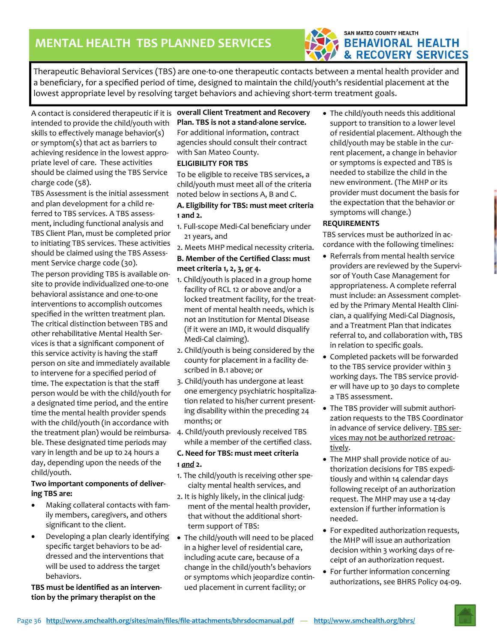

Therapeutic Behavioral Services (TBS) are one‐to‐one therapeutic contacts between a mental health provider and a beneficiary, for a specified period of time, designed to maintain the child/youth's residential placement at the lowest appropriate level by resolving target behaviors and achieving short-term treatment goals.

A contact is considered therapeutic if it is **overall Client Treatment and Recovery**  intended to provide the child/youth with skills to effectively manage behavior(s) or symptom(s) that act as barriers to achieving residence in the lowest appro‐ priate level of care. These activities should be claimed using the TBS Service charge code (58).

TBS Assessment is the initial assessment and plan development for a child re‐ ferred to TBS services. A TBS assess‐ ment, including functional analysis and TBS Client Plan, must be completed prior to initiating TBS services. These activities should be claimed using the TBS Assess‐ ment Service charge code (30).

The person providing TBS is available on‐ site to provide individualized one‐to‐one behavioral assistance and one‐to‐one interventions to accomplish outcomes specified in the written treatment plan. The critical distinction between TBS and other rehabilitative Mental Health Ser‐ vices is that a significant component of this service activity is having the staff person on site and immediately available to intervene for a specified period of time. The expectation is that the staff person would be with the child/youth for a designated time period, and the entire time the mental health provider spends with the child/youth (in accordance with the treatment plan) would be reimbursa‐ ble. These designated time periods may vary in length and be up to 24 hours a day, depending upon the needs of the child/youth.

#### **Two important components of deliver‐ ing TBS are:**

- Making collateral contacts with fam‐ ily members, caregivers, and others significant to the client.
- Developing a plan clearly identifying specific target behaviors to be ad‐ dressed and the interventions that will be used to address the target behaviors.

#### **TBS must be identified as an interven‐ tion by the primary therapist on the**

## **Plan. TBS is not a stand‐alone service.**  For additional information, contract

agencies should consult their contract with San Mateo County.

#### **ELIGIBILITY FOR TBS**

To be eligible to receive TBS services, a child/youth must meet all of the criteria noted below in sections A, B and C.

#### **A. Eligibility for TBS: must meet criteria 1 and 2.**

- 1. Full‐scope Medi‐Cal beneficiary under 21 years, and
- 2. Meets MHP medical necessity criteria.

#### **B. Member of the Certified Class: must meet criteria 1, 2, 3,** *or* **4.**

- 1. Child/youth is placed in a group home facility of RCL 12 or above and/or a locked treatment facility, for the treat‐ ment of mental health needs, which is not an Institution for Mental Disease (if it were an IMD, it would disqualify Medi-Cal claiming).
- 2. Child/youth is being considered by the county for placement in a facility de‐ scribed in B.1 above; or
- 3. Child/youth has undergone at least one emergency psychiatric hospitaliza‐ tion related to his/her current present‐ ing disability within the preceding 24 months; or
- 4. Child/youth previously received TBS while a member of the certified class.

#### **C. Need for TBS: must meet criteria 1** *and* **2.**

- 1. The child/youth is receiving other spe‐ cialty mental health services, and
- 2. It is highly likely, in the clinical judg‐ ment of the mental health provider, that without the additional short‐ term support of TBS:
- The child/youth will need to be placed in a higher level of residential care, including acute care, because of a change in the child/youth's behaviors or symptoms which jeopardize contin‐ ued placement in current facility; or

 The child/youth needs this additional support to transition to a lower level of residential placement. Although the child/youth may be stable in the cur‐ rent placement, a change in behavior or symptoms is expected and TBS is needed to stabilize the child in the new environment. (The MHP or its provider must document the basis for the expectation that the behavior or symptoms will change.)

#### **REQUIREMENTS**

TBS services must be authorized in ac‐ cordance with the following timelines:

- Referrals from mental health service providers are reviewed by the Supervi‐ sor of Youth Case Management for appropriateness. A complete referral must include: an Assessment complet‐ ed by the Primary Mental Health Clini‐ cian, a qualifying Medi‐Cal Diagnosis, and a Treatment Plan that indicates referral to, and collaboration with, TBS in relation to specific goals.
- Completed packets will be forwarded to the TBS service provider within 3 working days. The TBS service provid‐ er will have up to 30 days to complete a TBS assessment.
- The TBS provider will submit authorization requests to the TBS Coordinator in advance of service delivery. TBS services may not be authorized retroac‐ tively.
- The MHP shall provide notice of authorization decisions for TBS expedi‐ tiously and within 14 calendar days following receipt of an authorization request. The MHP may use a 14‐day extension if further information is needed.
- For expedited authorization requests, the MHP will issue an authorization decision within 3 working days of re‐ ceipt of an authorization request.
- For further information concerning authorizations, see BHRS Policy 04‐09.

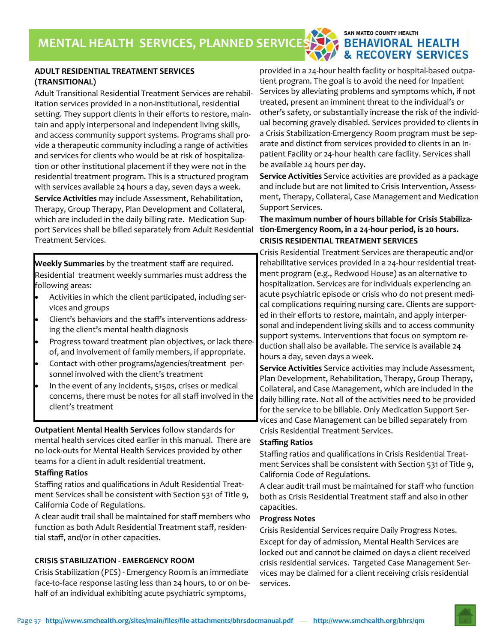#### SAN MATEO COUNTY HEALTH **BEHAVIORAL HEALTH & RECOVERY SERVICES**

#### **ADULT RESIDENTIAL TREATMENT SERVICES (TRANSITIONAL)**

*manual*  Adult Transitional Residential Treatment Services are rehabil‐ itation services provided in a non‐institutional, residential setting. They support clients in their efforts to restore, maintain and apply interpersonal and independent living skills, and access community support systems. Programs shall pro‐ vide a therapeutic community including a range of activities and services for clients who would be at risk of hospitalization or other institutional placement if they were not in the residential treatment program. This is a structured program with services available 24 hours a day, seven days a week. **Service Activities** may include Assessment, Rehabilitation, Therapy, Group Therapy, Plan Development and Collateral, which are included in the daily billing rate. Medication Support Services shall be billed separately from Adult Residential Treatment Services.

**Weekly Summaries** by the treatment staff are required. Residential treatment weekly summaries must address the following areas:

- Activities in which the client participated, including ser‐ vices and groups
- Client's behaviors and the staff's interventions address‐ ing the client's mental health diagnosis
- Progress toward treatment plan objectives, or lack there‐ of, and involvement of family members, if appropriate.
- Contact with other programs/agencies/treatment per‐ sonnel involved with the client's treatment
- In the event of any incidents, 5150s, crises or medical concerns, there must be notes for all staff involved in the client's treatment

**Outpatient Mental Health Services** follow standards for mental health services cited earlier in this manual. There are no lock‐outs for Mental Health Services provided by other teams for a client in adult residential treatment.

#### **Staffing Ratios**

Staffing ratios and qualifications in Adult Residential Treat‐ ment Services shall be consistent with Section 531 of Title 9, California Code of Regulations.

A clear audit trail shall be maintained for staff members who function as both Adult Residential Treatment staff, residen‐ tial staff, and/or in other capacities.

#### **CRISIS STABILIZATION ‐ EMERGENCY ROOM**

Crisis Stabilization (PES) ‐ Emergency Room is an immediate face-to-face response lasting less than 24 hours, to or on behalf of an individual exhibiting acute psychiatric symptoms,

provided in a 24‐hour health facility or hospital‐based outpa‐ tient program. The goal is to avoid the need for Inpatient Services by alleviating problems and symptoms which, if not treated, present an imminent threat to the individual's or other's safety, or substantially increase the risk of the individ‐ ual becoming gravely disabled. Services provided to clients in a Crisis Stabilization‐Emergency Room program must be sep‐ arate and distinct from services provided to clients in an In‐ patient Facility or 24‐hour health care facility. Services shall be available 24 hours per day.

**Service Activities** Service activities are provided as a package and include but are not limited to Crisis Intervention, Assess‐ ment, Therapy, Collateral, Case Management and Medication Support Services.

#### **The maximum number of hours billable for Crisis Stabiliza‐ tion‐Emergency Room, in a 24‐hour period, is 20 hours. CRISIS RESIDENTIAL TREATMENT SERVICES**

Crisis Residential Treatment Services are therapeutic and/or rehabilitative services provided in a 24‐hour residential treat‐ ment program (e.g., Redwood House) as an alternative to hospitalization. Services are for individuals experiencing an acute psychiatric episode or crisis who do not present medi‐ cal complications requiring nursing care. Clients are support‐ ed in their efforts to restore, maintain, and apply interper‐ sonal and independent living skills and to access community support systems. Interventions that focus on symptom re‐ duction shall also be available. The service is available 24 hours a day, seven days a week.

**Service Activities** Service activities may include Assessment, Plan Development, Rehabilitation, Therapy, Group Therapy, Collateral, and Case Management, which are included in the daily billing rate. Not all of the activities need to be provided for the service to be billable. Only Medication Support Ser‐ vices and Case Management can be billed separately from Crisis Residential Treatment Services.

#### **Staffing Ratios**

Staffing ratios and qualifications in Crisis Residential Treat‐ ment Services shall be consistent with Section 531 of Title 9, California Code of Regulations.

A clear audit trail must be maintained for staff who function both as Crisis Residential Treatment staff and also in other capacities.

#### **Progress Notes**

Crisis Residential Services require Daily Progress Notes. Except for day of admission, Mental Health Services are locked out and cannot be claimed on days a client received crisis residential services. Targeted Case Management Ser‐ vices may be claimed for a client receiving crisis residential services.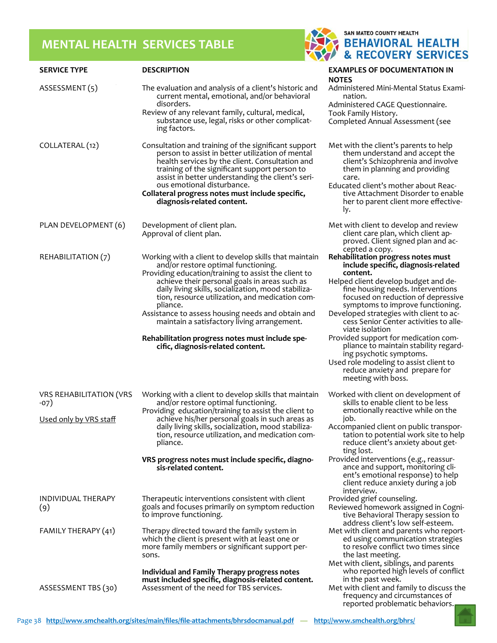## **MENTAL HEALTH SERVICES TABLE**



| <b>SERVICE TYPE</b>                      | <b>DESCRIPTION</b>                                                                                                                                                                                                                                                                                                                                                                | <b>EXAMPLES OF DOCUMENTATION IN</b><br>NOTES                                                                                                                                                                                                                                          |
|------------------------------------------|-----------------------------------------------------------------------------------------------------------------------------------------------------------------------------------------------------------------------------------------------------------------------------------------------------------------------------------------------------------------------------------|---------------------------------------------------------------------------------------------------------------------------------------------------------------------------------------------------------------------------------------------------------------------------------------|
| ASSESSMENT(5)                            | The evaluation and analysis of a client's historic and<br>current mental, emotional, and/or behavioral<br>disorders.<br>Review of any relevant family, cultural, medical,                                                                                                                                                                                                         | Administered Mini-Mental Status Exami-<br>nation.<br>Administered CAGE Questionnaire.<br>Took Family History.                                                                                                                                                                         |
|                                          | substance use, legal, risks or other complicat-<br>ing factors.                                                                                                                                                                                                                                                                                                                   | Completed Annual Assessment (see                                                                                                                                                                                                                                                      |
| COLLATERAL (12)                          | Consultation and training of the significant support<br>person to assist in better utilization of mental<br>health services by the client. Consultation and<br>training of the significant support person to<br>assist in better understanding the client's seri-<br>ous emotional disturbance.<br>Collateral progress notes must include specific,<br>diagnosis-related content. | Met with the client's parents to help<br>them understand and accept the<br>client's Schizophrenia and involve<br>them in planning and providing<br>care.<br>Educated client's mother about Reac-<br>tive Attachment Disorder to enable<br>her to parent client more effective-<br>ly. |
| PLAN DEVELOPMENT (6)                     | Development of client plan.<br>Approval of client plan.                                                                                                                                                                                                                                                                                                                           | Met with client to develop and review<br>client care plan, which client ap-<br>proved. Client signed plan and ac-<br>cepted a copy.                                                                                                                                                   |
| REHABILITATION (7)                       | Working with a client to develop skills that maintain<br>and/or restore optimal functioning.<br>Providing education/training to assist the client to                                                                                                                                                                                                                              | Rehabilitation progress notes must<br>include specific, diagnosis-related<br>content.                                                                                                                                                                                                 |
|                                          | achieve their personal goals in areas such as<br>daily living skills, socialization, mood stabiliza-<br>tion, resource utilization, and medication com-<br>pliance.                                                                                                                                                                                                               | Helped client develop budget and de-<br>fine housing needs. Interventions<br>focused on reduction of depressive<br>symptoms to improve functioning.                                                                                                                                   |
|                                          | Assistance to assess housing needs and obtain and<br>maintain a satisfactory living arrangement.                                                                                                                                                                                                                                                                                  | Developed strategies with client to ac-<br>cess Senior Center activities to alle-<br>viate isolation                                                                                                                                                                                  |
|                                          | Rehabilitation progress notes must include spe-<br>cific, diagnosis-related content.                                                                                                                                                                                                                                                                                              | Provided support for medication com-<br>pliance to maintain stability regard-<br>ing psychotic symptoms.                                                                                                                                                                              |
|                                          |                                                                                                                                                                                                                                                                                                                                                                                   | Used role modeling to assist client to<br>reduce anxiety and prepare for<br>meeting with boss.                                                                                                                                                                                        |
| <b>VRS REHABILITATION (VRS</b><br>$-07)$ | Working with a client to develop skills that maintain<br>and/or restore optimal functioning.<br>Providing education/training to assist the client to                                                                                                                                                                                                                              | Worked with client on development of<br>skills to enable client to be less<br>emotionally reactive while on the                                                                                                                                                                       |
| Used only by VRS staff                   | achieve his/her personal goals in such areas as<br>daily living skills, socialization, mood stabiliza-<br>tion, resource utilization, and medication com-<br>pliance.                                                                                                                                                                                                             | job.<br>Accompanied client on public transpor-<br>tation to potential work site to help<br>reduce client's anxiety about get-<br>ting lost.                                                                                                                                           |
|                                          | VRS progress notes must include specific, diagno-<br>sis-related content.                                                                                                                                                                                                                                                                                                         | Provided interventions (e.g., reassur-<br>ance and support, monitoring cli-<br>ent's emotional response) to help<br>client reduce anxiety during a job<br>interview.                                                                                                                  |
| INDIVIDUAL THERAPY<br>(9)                | Therapeutic interventions consistent with client<br>goals and focuses primarily on symptom reduction<br>to improve functioning.                                                                                                                                                                                                                                                   | Provided grief counseling.<br>Reviewed homework assigned in Cogni-<br>tive Behavioral Therapy session to<br>address client's low self-esteem.                                                                                                                                         |
| FAMILY THERAPY (41)                      | Therapy directed toward the family system in<br>which the client is present with at least one or<br>more family members or significant support per-<br>sons.                                                                                                                                                                                                                      | Met with client and parents who report-<br>ed using communication strategies<br>to resolve conflict two times since<br>the last meeting.<br>Met with client, siblings, and parents                                                                                                    |
| ASSESSMENT TBS (30)                      | Individual and Family Therapy progress notes<br>must included specific, diagnosis-related content.<br>Assessment of the need for TBS services.                                                                                                                                                                                                                                    | who reported high levels of conflict<br>in the past week.<br>Met with client and family to discuss the<br>frequency and circumstances of                                                                                                                                              |
|                                          |                                                                                                                                                                                                                                                                                                                                                                                   | reported problematic behaviors.                                                                                                                                                                                                                                                       |

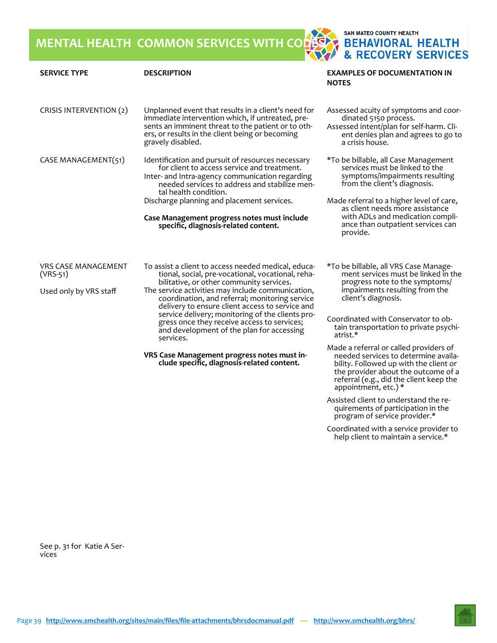**MENTAL HEALTH COMMON SERVICES WITH CODES**

SAN MATEO COUNTY HEALTH **BEHAVIORAL HEALTH<br>& RECOVERY SERVICES** 

| <b>SERVICE TYPE</b>                                                | <b>DESCRIPTION</b>                                                                                                                                                                                                                    | <b>EXAMPLES OF DOCUMENTATION IN</b><br><b>NOTES</b>                                                                                                                  |
|--------------------------------------------------------------------|---------------------------------------------------------------------------------------------------------------------------------------------------------------------------------------------------------------------------------------|----------------------------------------------------------------------------------------------------------------------------------------------------------------------|
| CRISIS INTERVENTION (2)                                            | Unplanned event that results in a client's need for<br>immediate intervention which, if untreated, pre-<br>sents an imminent threat to the patient or to oth-<br>ers, or results in the client being or becoming<br>gravely disabled. | Assessed acuity of symptoms and coor-<br>dinated 5150 process.<br>Assessed intent/plan for self-harm. Cli-<br>ent denies plan and agrees to go to<br>a crisis house. |
| CASE MANAGEMENT(51)                                                | Identification and pursuit of resources necessary<br>for client to access service and treatment.<br>Inter- and Intra-agency communication regarding<br>needed services to address and stabilize men-<br>tal health condition.         | *To be billable, all Case Management<br>services must be linked to the<br>symptoms/impairments resulting<br>from the client's diagnosis.                             |
|                                                                    | Discharge planning and placement services.<br>Case Management progress notes must include<br>specific, diagnosis-related content.                                                                                                     | Made referral to a higher level of care,<br>as client needs more assistance<br>with ADLs and medication compli-<br>ance than outpatient services can<br>provide.     |
| <b>VRS CASE MANAGEMENT</b><br>$(VRS-51)$<br>Used only by VRS staff | To assist a client to access needed medical, educa-<br>tional, social, pre-vocational, vocational, reha-<br>bilitative, or other community services.<br>The service activities may include communication,                             | *To be billable, all VRS Case Manage-<br>ment services must be linked in the<br>progress note to the symptoms/<br>impairments resulting from the                     |
|                                                                    | coordination, and referral; monitoring service<br>delivery to ensure client access to service and                                                                                                                                     | client's diagnosis.                                                                                                                                                  |
|                                                                    | service delivery; monitoring of the clients pro-<br>gress once they receive access to services;<br>and development of the plan for accessing<br>services.                                                                             | Coordinated with Conservator to ob-<br>tain transportation to private psychi-<br>atrist.*                                                                            |
|                                                                    | VRS Case Management progress notes must in-<br>clude specific, diagnosis-related content.                                                                                                                                             | Made a referral or called providers of<br>needed services to determine availa-<br>bility. Followed up with the client or<br>the provider about the outcome of a      |

Assisted client to understand the re‐ quirements of participation in the program of service provider.\*

appointment, etc.) \*

referral (e.g., did the client keep the

Coordinated with a service provider to help client to maintain a service.\*

See p. 31 for Katie A Ser-<br>vices

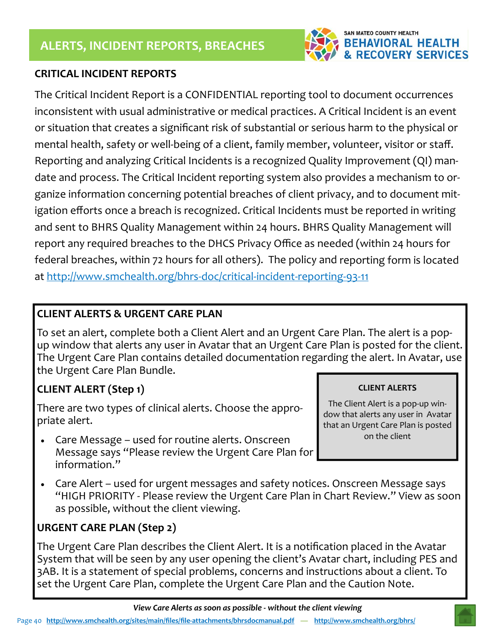

## **CRITICAL INCIDENT REPORTS**

The Critical Incident Report is a CONFIDENTIAL reporting tool to document occurrences inconsistent with usual administrative or medical practices. A Critical Incident is an event or situation that creates a significant risk of substantial or serious harm to the physical or mental health, safety or well-being of a client, family member, volunteer, visitor or staff. Reporting and analyzing Critical Incidents is a recognized Quality Improvement (QI) man‐ date and process. The Critical Incident reporting system also provides a mechanism to or‐ ganize information concerning potential breaches of client privacy, and to document mit‐ igation efforts once a breach is recognized. Critical Incidents must be reported in writing and sent to BHRS Quality Management within 24 hours. BHRS Quality Management will report any required breaches to the DHCS Privacy Office as needed (within 24 hours for federal breaches, within 72 hours for all others). The policy and reporting form is located at http://www.smchealth.org/bhrs‐doc/critical‐incident‐reporting‐93‐11

## **CLIENT ALERTS & URGENT CARE PLAN**

To set an alert, complete both a Client Alert and an Urgent Care Plan. The alert is a pop‐ up window that alerts any user in Avatar that an Urgent Care Plan is posted for the client. The Urgent Care Plan contains detailed documentation regarding the alert. In Avatar, use the Urgent Care Plan Bundle.

## **CLIENT ALERT (Step 1)**

There are two types of clinical alerts. Choose the appro‐ priate alert.

- Care Message used for routine alerts. Onscreen Message says "Please review the Urgent Care Plan for information."
- Care Alert used for urgent messages and safety notices. Onscreen Message says "HIGH PRIORITY ‐ Please review the Urgent Care Plan in Chart Review." View as soon as possible, without the client viewing.

## **URGENT CARE PLAN (Step 2)**

The Urgent Care Plan describes the Client Alert. It is a notification placed in the Avatar System that will be seen by any user opening the client's Avatar chart, including PES and 3AB. It is a statement of special problems, concerns and instructions about a client. To set the Urgent Care Plan, complete the Urgent Care Plan and the Caution Note.

#### **CLIENT ALERTS**

The Client Alert is a pop‐up win‐ dow that alerts any user in Avatar that an Urgent Care Plan is posted on the client

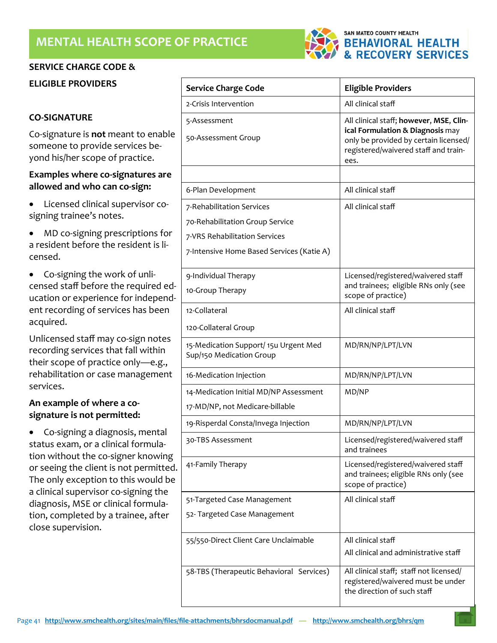#### **SERVICE CHARGE CODE &**

**ELIGIBLE PROVIDERS** 

#### **CO‐SIGNATURE**

Co‐signature is **not** meant to enable someone to provide services be‐ yond his/her scope of practice.

#### **Examples where co‐signatures are allowed and who can co‐sign:**

- Licensed clinical supervisor cosigning trainee's notes.
- MD co-signing prescriptions for a resident before the resident is li‐ censed.
- Co-signing the work of unlicensed staff before the required ed‐ ucation or experience for independ‐ ent recording of services has been acquired.

Unlicensed staff may co‐sign notes recording services that fall within their scope of practice only—e.g., rehabilitation or case management services.

#### **An example of where a co‐ signature is not permitted:**

• Co-signing a diagnosis, mental status exam, or a clinical formula‐ tion without the co‐signer knowing or seeing the client is not permitted. The only exception to this would be a clinical supervisor co‐signing the diagnosis, MSE or clinical formula‐ tion, completed by a trainee, after close supervision.

| <b>Service Charge Code</b>                                        | <b>Eligible Providers</b>                                                                                                                                            |
|-------------------------------------------------------------------|----------------------------------------------------------------------------------------------------------------------------------------------------------------------|
| 2-Crisis Intervention                                             | All clinical staff                                                                                                                                                   |
| 5-Assessment<br>50-Assessment Group                               | All clinical staff; however, MSE, Clin-<br>ical Formulation & Diagnosis may<br>only be provided by certain licensed/<br>registered/waivered staff and train-<br>ees. |
|                                                                   |                                                                                                                                                                      |
| 6-Plan Development                                                | All clinical staff                                                                                                                                                   |
| 7-Rehabilitation Services                                         | All clinical staff                                                                                                                                                   |
| 70-Rehabilitation Group Service                                   |                                                                                                                                                                      |
| 7-VRS Rehabilitation Services                                     |                                                                                                                                                                      |
| 7-Intensive Home Based Services (Katie A)                         |                                                                                                                                                                      |
| 9-Individual Therapy                                              | Licensed/registered/waivered staff<br>and trainees; eligible RNs only (see                                                                                           |
| 10-Group Therapy                                                  | scope of practice)                                                                                                                                                   |
| 12-Collateral                                                     | All clinical staff                                                                                                                                                   |
| 120-Collateral Group                                              |                                                                                                                                                                      |
| 15-Medication Support/ 15u Urgent Med<br>Sup/150 Medication Group | MD/RN/NP/LPT/LVN                                                                                                                                                     |
| 16-Medication Injection                                           | MD/RN/NP/LPT/LVN                                                                                                                                                     |
| 14-Medication Initial MD/NP Assessment                            | MD/NP                                                                                                                                                                |
| 17-MD/NP, not Medicare-billable                                   |                                                                                                                                                                      |
| 19-Risperdal Consta/Invega Injection                              | MD/RN/NP/LPT/LVN                                                                                                                                                     |
| 30-TBS Assessment                                                 | Licensed/registered/waivered staff<br>and trainees                                                                                                                   |
| 41-Family Therapy                                                 | Licensed/registered/waivered staff<br>and trainees; eligible RNs only (see<br>scope of practice)                                                                     |
| 51-Targeted Case Management                                       | All clinical staff                                                                                                                                                   |
| 52- Targeted Case Management                                      |                                                                                                                                                                      |
| 55/550-Direct Client Care Unclaimable                             | All clinical staff                                                                                                                                                   |
|                                                                   | All clinical and administrative staff                                                                                                                                |
| 58-TBS (Therapeutic Behavioral Services)                          | All clinical staff; staff not licensed/<br>registered/waivered must be under<br>the direction of such staff                                                          |

SAN MATEO COUNTY HEALTH

**BEHAVIORAL HEALTH & RECOVERY SERVICES** 



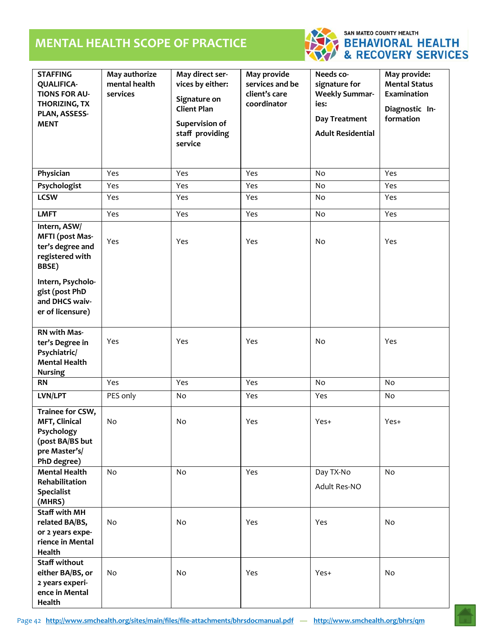## **MENTAL HEALTH SCOPE OF PRACTICE**



# SAN MATEO COUNTY HEALTH<br>BEHAVIORAL HEALTH<br>& RECOVERY SERVICES

| <b>STAFFING</b><br><b>QUALIFICA-</b><br><b>TIONS FOR AU-</b><br>THORIZING, TX<br>PLAN, ASSESS-<br><b>MENT</b>                                                       | May authorize<br>mental health<br>services | May direct ser-<br>vices by either:<br>Signature on<br><b>Client Plan</b><br>Supervision of<br>staff providing<br>service | May provide<br>services and be<br>client's care<br>coordinator | Needs co-<br>signature for<br><b>Weekly Summar-</b><br>ies:<br>Day Treatment<br><b>Adult Residential</b> | May provide:<br><b>Mental Status</b><br>Examination<br>Diagnostic In-<br>formation |
|---------------------------------------------------------------------------------------------------------------------------------------------------------------------|--------------------------------------------|---------------------------------------------------------------------------------------------------------------------------|----------------------------------------------------------------|----------------------------------------------------------------------------------------------------------|------------------------------------------------------------------------------------|
| Physician                                                                                                                                                           | Yes                                        | Yes                                                                                                                       | Yes                                                            | No                                                                                                       | Yes                                                                                |
| Psychologist                                                                                                                                                        | Yes                                        | Yes                                                                                                                       | Yes                                                            | No                                                                                                       | Yes                                                                                |
| <b>LCSW</b>                                                                                                                                                         | Yes                                        | Yes                                                                                                                       | Yes                                                            | No                                                                                                       | Yes                                                                                |
| <b>LMFT</b>                                                                                                                                                         | Yes                                        | Yes                                                                                                                       | Yes                                                            | No                                                                                                       | Yes                                                                                |
| Intern, ASW/<br><b>MFTI</b> (post Mas-<br>ter's degree and<br>registered with<br>BBSE)<br>Intern, Psycholo-<br>gist (post PhD<br>and DHCS waiv-<br>er of licensure) | Yes                                        | Yes                                                                                                                       | Yes                                                            | No                                                                                                       | Yes                                                                                |
| RN with Mas-                                                                                                                                                        |                                            |                                                                                                                           |                                                                |                                                                                                          |                                                                                    |
| ter's Degree in<br>Psychiatric/<br><b>Mental Health</b><br><b>Nursing</b>                                                                                           | Yes                                        | Yes                                                                                                                       | Yes                                                            | No                                                                                                       | Yes                                                                                |
| <b>RN</b>                                                                                                                                                           | Yes                                        | Yes                                                                                                                       | Yes                                                            | No                                                                                                       | No                                                                                 |
| LVN/LPT                                                                                                                                                             | PES only                                   | No                                                                                                                        | Yes                                                            | Yes                                                                                                      | No                                                                                 |
| Trainee for CSW,<br><b>MFT, Clinical</b><br>Psychology<br>(post BA/BS but<br>pre Master's/<br>PhD degree)                                                           | No                                         | No                                                                                                                        | Yes                                                            | Yes+                                                                                                     | Yes+                                                                               |
| Mental Health<br>Rehabilitation<br><b>Specialist</b><br>(MHRS)                                                                                                      | <b>No</b>                                  | No                                                                                                                        | Yes                                                            | Day TX-No<br>Adult Res-NO                                                                                | No                                                                                 |
| Staff with MH<br>related BA/BS,<br>or 2 years expe-<br>rience in Mental<br>Health                                                                                   | No                                         | No                                                                                                                        | Yes                                                            | Yes                                                                                                      | No                                                                                 |
| Staff without<br>either BA/BS, or<br>2 years experi-<br>ence in Mental<br>Health                                                                                    | No                                         | No                                                                                                                        | Yes                                                            | Yes+                                                                                                     | No                                                                                 |